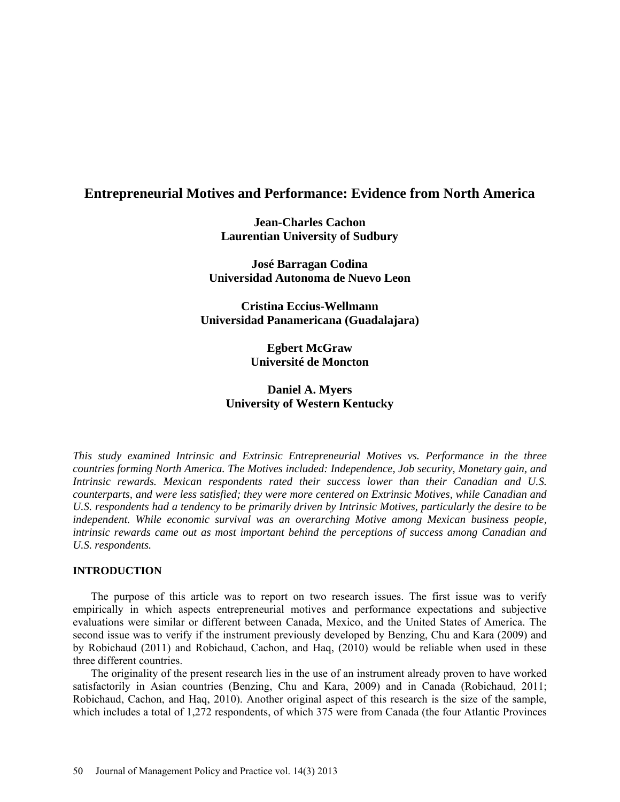# **Entrepreneurial Motives and Performance: Evidence from North America**

**Jean-Charles Cachon Laurentian University of Sudbury**

**José Barragan Codina Universidad Autonoma de Nuevo Leon** 

**Cristina Eccius-Wellmann Universidad Panamericana (Guadalajara)** 

> **Egbert McGraw Université de Moncton**

# **Daniel A. Myers University of Western Kentucky**

*This study examined Intrinsic and Extrinsic Entrepreneurial Motives vs. Performance in the three countries forming North America. The Motives included: Independence, Job security, Monetary gain, and Intrinsic rewards. Mexican respondents rated their success lower than their Canadian and U.S. counterparts, and were less satisfied; they were more centered on Extrinsic Motives, while Canadian and U.S. respondents had a tendency to be primarily driven by Intrinsic Motives, particularly the desire to be independent. While economic survival was an overarching Motive among Mexican business people, intrinsic rewards came out as most important behind the perceptions of success among Canadian and U.S. respondents.*

## **INTRODUCTION**

The purpose of this article was to report on two research issues. The first issue was to verify empirically in which aspects entrepreneurial motives and performance expectations and subjective evaluations were similar or different between Canada, Mexico, and the United States of America. The second issue was to verify if the instrument previously developed by Benzing, Chu and Kara (2009) and by Robichaud (2011) and Robichaud, Cachon, and Haq, (2010) would be reliable when used in these three different countries.

The originality of the present research lies in the use of an instrument already proven to have worked satisfactorily in Asian countries (Benzing, Chu and Kara, 2009) and in Canada (Robichaud, 2011; Robichaud, Cachon, and Haq, 2010). Another original aspect of this research is the size of the sample, which includes a total of 1,272 respondents, of which 375 were from Canada (the four Atlantic Provinces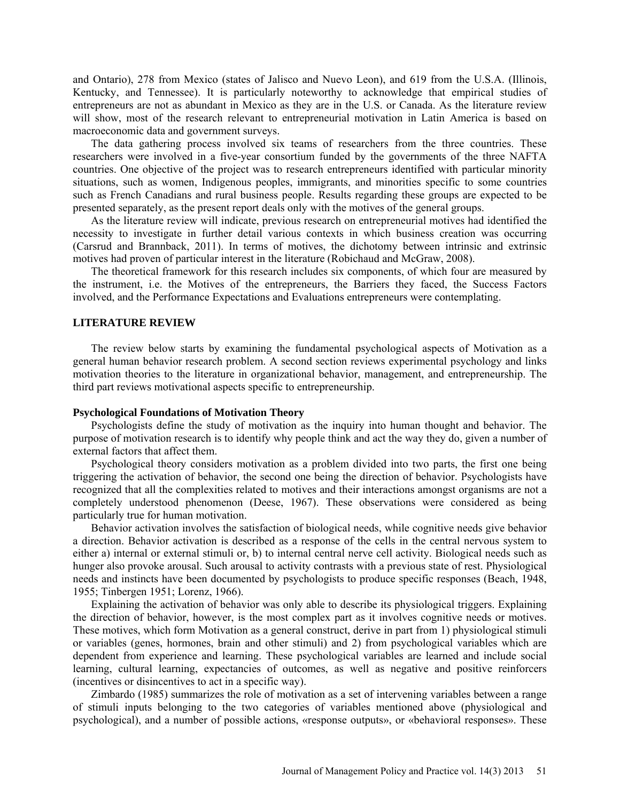and Ontario), 278 from Mexico (states of Jalisco and Nuevo Leon), and 619 from the U.S.A. (Illinois, Kentucky, and Tennessee). It is particularly noteworthy to acknowledge that empirical studies of entrepreneurs are not as abundant in Mexico as they are in the U.S. or Canada. As the literature review will show, most of the research relevant to entrepreneurial motivation in Latin America is based on macroeconomic data and government surveys.

The data gathering process involved six teams of researchers from the three countries. These researchers were involved in a five-year consortium funded by the governments of the three NAFTA countries. One objective of the project was to research entrepreneurs identified with particular minority situations, such as women, Indigenous peoples, immigrants, and minorities specific to some countries such as French Canadians and rural business people. Results regarding these groups are expected to be presented separately, as the present report deals only with the motives of the general groups.

As the literature review will indicate, previous research on entrepreneurial motives had identified the necessity to investigate in further detail various contexts in which business creation was occurring (Carsrud and Brannback, 2011). In terms of motives, the dichotomy between intrinsic and extrinsic motives had proven of particular interest in the literature (Robichaud and McGraw, 2008).

The theoretical framework for this research includes six components, of which four are measured by the instrument, i.e. the Motives of the entrepreneurs, the Barriers they faced, the Success Factors involved, and the Performance Expectations and Evaluations entrepreneurs were contemplating.

## **LITERATURE REVIEW**

The review below starts by examining the fundamental psychological aspects of Motivation as a general human behavior research problem. A second section reviews experimental psychology and links motivation theories to the literature in organizational behavior, management, and entrepreneurship. The third part reviews motivational aspects specific to entrepreneurship.

### **Psychological Foundations of Motivation Theory**

Psychologists define the study of motivation as the inquiry into human thought and behavior. The purpose of motivation research is to identify why people think and act the way they do, given a number of external factors that affect them.

Psychological theory considers motivation as a problem divided into two parts, the first one being triggering the activation of behavior, the second one being the direction of behavior. Psychologists have recognized that all the complexities related to motives and their interactions amongst organisms are not a completely understood phenomenon (Deese, 1967). These observations were considered as being particularly true for human motivation.

Behavior activation involves the satisfaction of biological needs, while cognitive needs give behavior a direction. Behavior activation is described as a response of the cells in the central nervous system to either a) internal or external stimuli or, b) to internal central nerve cell activity. Biological needs such as hunger also provoke arousal. Such arousal to activity contrasts with a previous state of rest. Physiological needs and instincts have been documented by psychologists to produce specific responses (Beach, 1948, 1955; Tinbergen 1951; Lorenz, 1966).

Explaining the activation of behavior was only able to describe its physiological triggers. Explaining the direction of behavior, however, is the most complex part as it involves cognitive needs or motives. These motives, which form Motivation as a general construct, derive in part from 1) physiological stimuli or variables (genes, hormones, brain and other stimuli) and 2) from psychological variables which are dependent from experience and learning. These psychological variables are learned and include social learning, cultural learning, expectancies of outcomes, as well as negative and positive reinforcers (incentives or disincentives to act in a specific way).

Zimbardo (1985) summarizes the role of motivation as a set of intervening variables between a range of stimuli inputs belonging to the two categories of variables mentioned above (physiological and psychological), and a number of possible actions, «response outputs», or «behavioral responses». These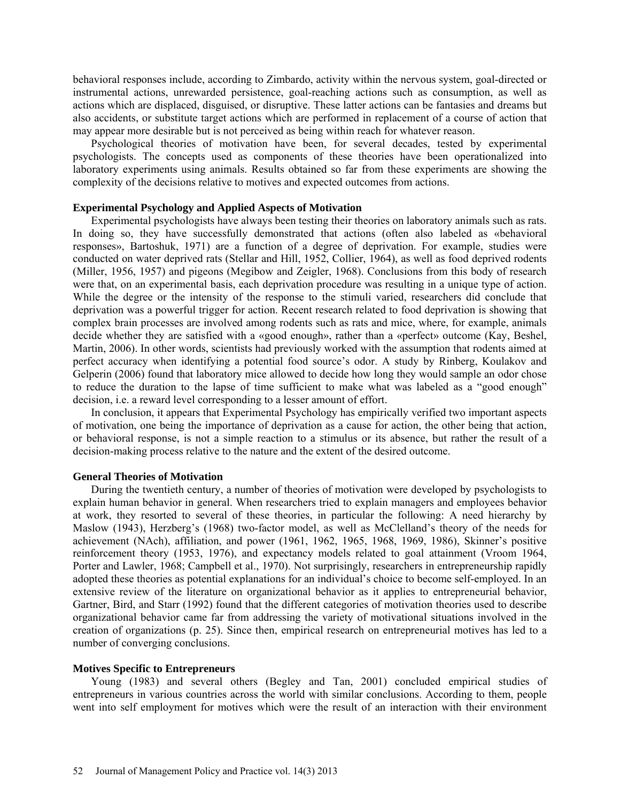behavioral responses include, according to Zimbardo, activity within the nervous system, goal-directed or instrumental actions, unrewarded persistence, goal-reaching actions such as consumption, as well as actions which are displaced, disguised, or disruptive. These latter actions can be fantasies and dreams but also accidents, or substitute target actions which are performed in replacement of a course of action that may appear more desirable but is not perceived as being within reach for whatever reason.

Psychological theories of motivation have been, for several decades, tested by experimental psychologists. The concepts used as components of these theories have been operationalized into laboratory experiments using animals. Results obtained so far from these experiments are showing the complexity of the decisions relative to motives and expected outcomes from actions.

## **Experimental Psychology and Applied Aspects of Motivation**

Experimental psychologists have always been testing their theories on laboratory animals such as rats. In doing so, they have successfully demonstrated that actions (often also labeled as «behavioral responses», Bartoshuk, 1971) are a function of a degree of deprivation. For example, studies were conducted on water deprived rats (Stellar and Hill, 1952, Collier, 1964), as well as food deprived rodents (Miller, 1956, 1957) and pigeons (Megibow and Zeigler, 1968). Conclusions from this body of research were that, on an experimental basis, each deprivation procedure was resulting in a unique type of action. While the degree or the intensity of the response to the stimuli varied, researchers did conclude that deprivation was a powerful trigger for action. Recent research related to food deprivation is showing that complex brain processes are involved among rodents such as rats and mice, where, for example, animals decide whether they are satisfied with a «good enough», rather than a «perfect» outcome (Kay, Beshel, Martin, 2006). In other words, scientists had previously worked with the assumption that rodents aimed at perfect accuracy when identifying a potential food source's odor. A study by Rinberg, Koulakov and Gelperin (2006) found that laboratory mice allowed to decide how long they would sample an odor chose to reduce the duration to the lapse of time sufficient to make what was labeled as a "good enough" decision, i.e. a reward level corresponding to a lesser amount of effort.

In conclusion, it appears that Experimental Psychology has empirically verified two important aspects of motivation, one being the importance of deprivation as a cause for action, the other being that action, or behavioral response, is not a simple reaction to a stimulus or its absence, but rather the result of a decision-making process relative to the nature and the extent of the desired outcome.

### **General Theories of Motivation**

During the twentieth century, a number of theories of motivation were developed by psychologists to explain human behavior in general. When researchers tried to explain managers and employees behavior at work, they resorted to several of these theories, in particular the following: A need hierarchy by Maslow (1943), Herzberg's (1968) two-factor model, as well as McClelland's theory of the needs for achievement (NAch), affiliation, and power (1961, 1962, 1965, 1968, 1969, 1986), Skinner's positive reinforcement theory (1953, 1976), and expectancy models related to goal attainment (Vroom 1964, Porter and Lawler, 1968; Campbell et al., 1970). Not surprisingly, researchers in entrepreneurship rapidly adopted these theories as potential explanations for an individual's choice to become self-employed. In an extensive review of the literature on organizational behavior as it applies to entrepreneurial behavior, Gartner, Bird, and Starr (1992) found that the different categories of motivation theories used to describe organizational behavior came far from addressing the variety of motivational situations involved in the creation of organizations (p. 25). Since then, empirical research on entrepreneurial motives has led to a number of converging conclusions.

#### **Motives Specific to Entrepreneurs**

Young (1983) and several others (Begley and Tan, 2001) concluded empirical studies of entrepreneurs in various countries across the world with similar conclusions. According to them, people went into self employment for motives which were the result of an interaction with their environment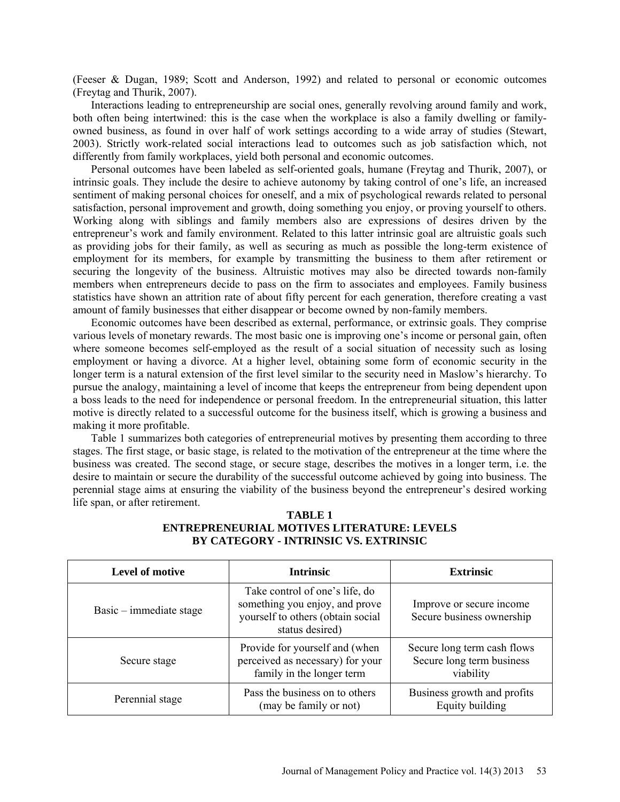(Feeser & Dugan, 1989; Scott and Anderson, 1992) and related to personal or economic outcomes (Freytag and Thurik, 2007).

Interactions leading to entrepreneurship are social ones, generally revolving around family and work, both often being intertwined: this is the case when the workplace is also a family dwelling or familyowned business, as found in over half of work settings according to a wide array of studies (Stewart, 2003). Strictly work-related social interactions lead to outcomes such as job satisfaction which, not differently from family workplaces, yield both personal and economic outcomes.

Personal outcomes have been labeled as self-oriented goals, humane (Freytag and Thurik, 2007), or intrinsic goals. They include the desire to achieve autonomy by taking control of one's life, an increased sentiment of making personal choices for oneself, and a mix of psychological rewards related to personal satisfaction, personal improvement and growth, doing something you enjoy, or proving yourself to others. Working along with siblings and family members also are expressions of desires driven by the entrepreneur's work and family environment. Related to this latter intrinsic goal are altruistic goals such as providing jobs for their family, as well as securing as much as possible the long-term existence of employment for its members, for example by transmitting the business to them after retirement or securing the longevity of the business. Altruistic motives may also be directed towards non-family members when entrepreneurs decide to pass on the firm to associates and employees. Family business statistics have shown an attrition rate of about fifty percent for each generation, therefore creating a vast amount of family businesses that either disappear or become owned by non-family members.

Economic outcomes have been described as external, performance, or extrinsic goals. They comprise various levels of monetary rewards. The most basic one is improving one's income or personal gain, often where someone becomes self-employed as the result of a social situation of necessity such as losing employment or having a divorce. At a higher level, obtaining some form of economic security in the longer term is a natural extension of the first level similar to the security need in Maslow's hierarchy. To pursue the analogy, maintaining a level of income that keeps the entrepreneur from being dependent upon a boss leads to the need for independence or personal freedom. In the entrepreneurial situation, this latter motive is directly related to a successful outcome for the business itself, which is growing a business and making it more profitable.

Table 1 summarizes both categories of entrepreneurial motives by presenting them according to three stages. The first stage, or basic stage, is related to the motivation of the entrepreneur at the time where the business was created. The second stage, or secure stage, describes the motives in a longer term, i.e. the desire to maintain or secure the durability of the successful outcome achieved by going into business. The perennial stage aims at ensuring the viability of the business beyond the entrepreneur's desired working life span, or after retirement.

| Level of motive           | <b>Intrinsic</b>                                                                                                         | <b>Extrinsic</b>                                                      |
|---------------------------|--------------------------------------------------------------------------------------------------------------------------|-----------------------------------------------------------------------|
| $Basic - immediate stage$ | Take control of one's life, do<br>something you enjoy, and prove<br>yourself to others (obtain social<br>status desired) | Improve or secure income<br>Secure business ownership                 |
| Secure stage              | Provide for yourself and (when<br>perceived as necessary) for your<br>family in the longer term                          | Secure long term cash flows<br>Secure long term business<br>viability |
| Perennial stage           | Pass the business on to others<br>(may be family or not)                                                                 | Business growth and profits<br>Equity building                        |

## **TABLE 1 ENTREPRENEURIAL MOTIVES LITERATURE: LEVELS BY CATEGORY - INTRINSIC VS. EXTRINSIC**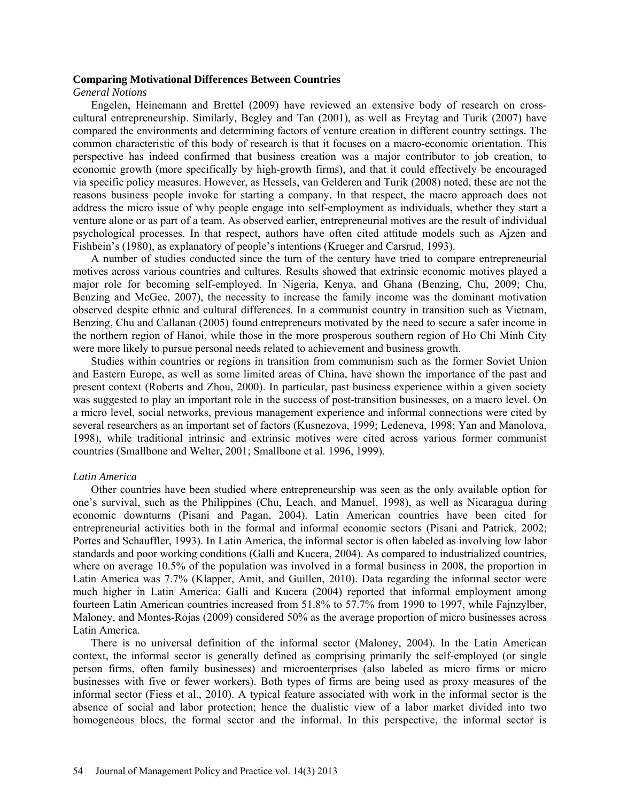#### **Comparing Motivational Differences Between Countries**

*General Notions*

Engelen, Heinemann and Brettel (2009) have reviewed an extensive body of research on crosscultural entrepreneurship. Similarly, Begley and Tan (2001), as well as Freytag and Turik (2007) have compared the environments and determining factors of venture creation in different country settings. The common characteristic of this body of research is that it focuses on a macro-economic orientation. This perspective has indeed confirmed that business creation was a major contributor to job creation, to economic growth (more specifically by high-growth firms), and that it could effectively be encouraged via specific policy measures. However, as Hessels, van Gelderen and Turik (2008) noted, these are not the reasons business people invoke for starting a company. In that respect, the macro approach does not address the micro issue of why people engage into self-employment as individuals, whether they start a venture alone or as part of a team. As observed earlier, entrepreneurial motives are the result of individual psychological processes. In that respect, authors have often cited attitude models such as Ajzen and Fishbein's (1980), as explanatory of people's intentions (Krueger and Carsrud, 1993).

A number of studies conducted since the turn of the century have tried to compare entrepreneurial motives across various countries and cultures. Results showed that extrinsic economic motives played a major role for becoming self-employed. In Nigeria, Kenya, and Ghana (Benzing, Chu, 2009; Chu, Benzing and McGee, 2007), the necessity to increase the family income was the dominant motivation observed despite ethnic and cultural differences. In a communist country in transition such as Vietnam, Benzing, Chu and Callanan (2005) found entrepreneurs motivated by the need to secure a safer income in the northern region of Hanoi, while those in the more prosperous southern region of Ho Chi Minh City were more likely to pursue personal needs related to achievement and business growth.

Studies within countries or regions in transition from communism such as the former Soviet Union and Eastern Europe, as well as some limited areas of China, have shown the importance of the past and present context (Roberts and Zhou, 2000). In particular, past business experience within a given society was suggested to play an important role in the success of post-transition businesses, on a macro level. On a micro level, social networks, previous management experience and informal connections were cited by several researchers as an important set of factors (Kusnezova, 1999; Ledeneva, 1998; Yan and Manolova, 1998), while traditional intrinsic and extrinsic motives were cited across various former communist countries (Smallbone and Welter, 2001; Smallbone et al. 1996, 1999).

#### *Latin America*

Other countries have been studied where entrepreneurship was seen as the only available option for one's survival, such as the Philippines (Chu, Leach, and Manuel, 1998), as well as Nicaragua during economic downturns (Pisani and Pagan, 2004). Latin American countries have been cited for entrepreneurial activities both in the formal and informal economic sectors (Pisani and Patrick, 2002; Portes and Schauffler, 1993). In Latin America, the informal sector is often labeled as involving low labor standards and poor working conditions (Galli and Kucera, 2004). As compared to industrialized countries, where on average 10.5% of the population was involved in a formal business in 2008, the proportion in Latin America was 7.7% (Klapper, Amit, and Guillen, 2010). Data regarding the informal sector were much higher in Latin America: Galli and Kucera (2004) reported that informal employment among fourteen Latin American countries increased from 51.8% to 57.7% from 1990 to 1997, while Fajnzylber, Maloney, and Montes-Rojas (2009) considered 50% as the average proportion of micro businesses across Latin America.

There is no universal definition of the informal sector (Maloney, 2004). In the Latin American context, the informal sector is generally defined as comprising primarily the self-employed (or single person firms, often family businesses) and microenterprises (also labeled as micro firms or micro businesses with five or fewer workers). Both types of firms are being used as proxy measures of the informal sector (Fiess et al., 2010). A typical feature associated with work in the informal sector is the absence of social and labor protection; hence the dualistic view of a labor market divided into two homogeneous blocs, the formal sector and the informal. In this perspective, the informal sector is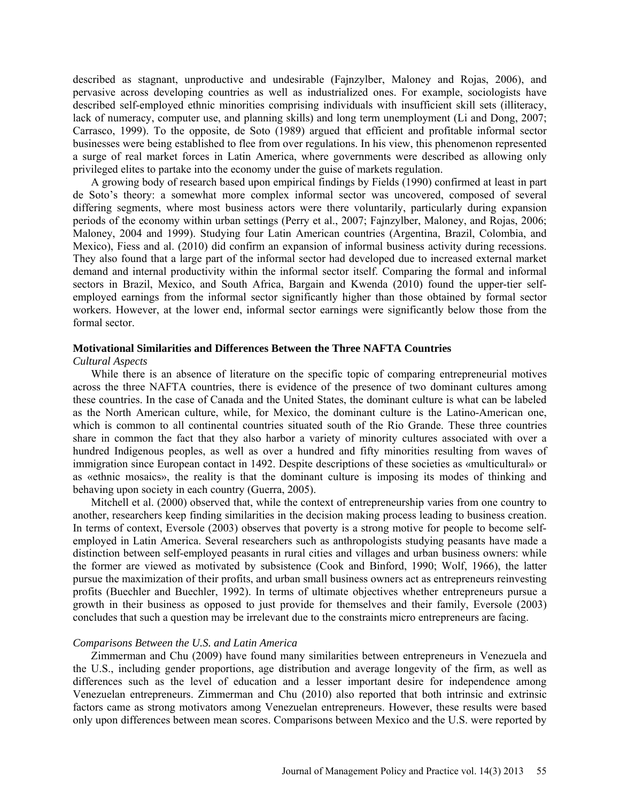described as stagnant, unproductive and undesirable (Fajnzylber, Maloney and Rojas, 2006), and pervasive across developing countries as well as industrialized ones. For example, sociologists have described self-employed ethnic minorities comprising individuals with insufficient skill sets (illiteracy, lack of numeracy, computer use, and planning skills) and long term unemployment (Li and Dong, 2007; Carrasco, 1999). To the opposite, de Soto (1989) argued that efficient and profitable informal sector businesses were being established to flee from over regulations. In his view, this phenomenon represented a surge of real market forces in Latin America, where governments were described as allowing only privileged elites to partake into the economy under the guise of markets regulation.

A growing body of research based upon empirical findings by Fields (1990) confirmed at least in part de Soto's theory: a somewhat more complex informal sector was uncovered, composed of several differing segments, where most business actors were there voluntarily, particularly during expansion periods of the economy within urban settings (Perry et al., 2007; Fajnzylber, Maloney, and Rojas, 2006; Maloney, 2004 and 1999). Studying four Latin American countries (Argentina, Brazil, Colombia, and Mexico), Fiess and al. (2010) did confirm an expansion of informal business activity during recessions. They also found that a large part of the informal sector had developed due to increased external market demand and internal productivity within the informal sector itself. Comparing the formal and informal sectors in Brazil, Mexico, and South Africa, Bargain and Kwenda (2010) found the upper-tier selfemployed earnings from the informal sector significantly higher than those obtained by formal sector workers. However, at the lower end, informal sector earnings were significantly below those from the formal sector.

## **Motivational Similarities and Differences Between the Three NAFTA Countries**

#### *Cultural Aspects*

While there is an absence of literature on the specific topic of comparing entrepreneurial motives across the three NAFTA countries, there is evidence of the presence of two dominant cultures among these countries. In the case of Canada and the United States, the dominant culture is what can be labeled as the North American culture, while, for Mexico, the dominant culture is the Latino-American one, which is common to all continental countries situated south of the Rio Grande. These three countries share in common the fact that they also harbor a variety of minority cultures associated with over a hundred Indigenous peoples, as well as over a hundred and fifty minorities resulting from waves of immigration since European contact in 1492. Despite descriptions of these societies as «multicultural» or as «ethnic mosaics», the reality is that the dominant culture is imposing its modes of thinking and behaving upon society in each country (Guerra, 2005).

Mitchell et al. (2000) observed that, while the context of entrepreneurship varies from one country to another, researchers keep finding similarities in the decision making process leading to business creation. In terms of context, Eversole (2003) observes that poverty is a strong motive for people to become selfemployed in Latin America. Several researchers such as anthropologists studying peasants have made a distinction between self-employed peasants in rural cities and villages and urban business owners: while the former are viewed as motivated by subsistence (Cook and Binford, 1990; Wolf, 1966), the latter pursue the maximization of their profits, and urban small business owners act as entrepreneurs reinvesting profits (Buechler and Buechler, 1992). In terms of ultimate objectives whether entrepreneurs pursue a growth in their business as opposed to just provide for themselves and their family, Eversole (2003) concludes that such a question may be irrelevant due to the constraints micro entrepreneurs are facing.

#### *Comparisons Between the U.S. and Latin America*

Zimmerman and Chu (2009) have found many similarities between entrepreneurs in Venezuela and the U.S., including gender proportions, age distribution and average longevity of the firm, as well as differences such as the level of education and a lesser important desire for independence among Venezuelan entrepreneurs. Zimmerman and Chu (2010) also reported that both intrinsic and extrinsic factors came as strong motivators among Venezuelan entrepreneurs. However, these results were based only upon differences between mean scores. Comparisons between Mexico and the U.S. were reported by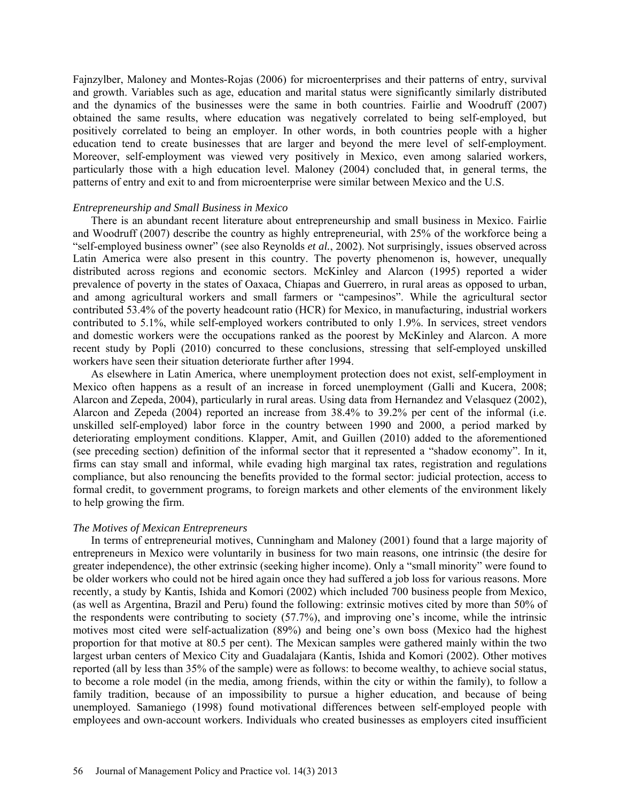Fajnzylber, Maloney and Montes-Rojas (2006) for microenterprises and their patterns of entry, survival and growth. Variables such as age, education and marital status were significantly similarly distributed and the dynamics of the businesses were the same in both countries. Fairlie and Woodruff (2007) obtained the same results, where education was negatively correlated to being self-employed, but positively correlated to being an employer. In other words, in both countries people with a higher education tend to create businesses that are larger and beyond the mere level of self-employment. Moreover, self-employment was viewed very positively in Mexico, even among salaried workers, particularly those with a high education level. Maloney (2004) concluded that, in general terms, the patterns of entry and exit to and from microenterprise were similar between Mexico and the U.S.

#### *Entrepreneurship and Small Business in Mexico*

There is an abundant recent literature about entrepreneurship and small business in Mexico. Fairlie and Woodruff (2007) describe the country as highly entrepreneurial, with 25% of the workforce being a "self-employed business owner" (see also Reynolds *et al.*, 2002). Not surprisingly, issues observed across Latin America were also present in this country. The poverty phenomenon is, however, unequally distributed across regions and economic sectors. McKinley and Alarcon (1995) reported a wider prevalence of poverty in the states of Oaxaca, Chiapas and Guerrero, in rural areas as opposed to urban, and among agricultural workers and small farmers or "campesinos". While the agricultural sector contributed 53.4% of the poverty headcount ratio (HCR) for Mexico, in manufacturing, industrial workers contributed to 5.1%, while self-employed workers contributed to only 1.9%. In services, street vendors and domestic workers were the occupations ranked as the poorest by McKinley and Alarcon. A more recent study by Popli (2010) concurred to these conclusions, stressing that self-employed unskilled workers have seen their situation deteriorate further after 1994.

As elsewhere in Latin America, where unemployment protection does not exist, self-employment in Mexico often happens as a result of an increase in forced unemployment (Galli and Kucera, 2008; Alarcon and Zepeda, 2004), particularly in rural areas. Using data from Hernandez and Velasquez (2002), Alarcon and Zepeda (2004) reported an increase from 38.4% to 39.2% per cent of the informal (i.e. unskilled self-employed) labor force in the country between 1990 and 2000, a period marked by deteriorating employment conditions. Klapper, Amit, and Guillen (2010) added to the aforementioned (see preceding section) definition of the informal sector that it represented a "shadow economy". In it, firms can stay small and informal, while evading high marginal tax rates, registration and regulations compliance, but also renouncing the benefits provided to the formal sector: judicial protection, access to formal credit, to government programs, to foreign markets and other elements of the environment likely to help growing the firm.

#### *The Motives of Mexican Entrepreneurs*

In terms of entrepreneurial motives, Cunningham and Maloney (2001) found that a large majority of entrepreneurs in Mexico were voluntarily in business for two main reasons, one intrinsic (the desire for greater independence), the other extrinsic (seeking higher income). Only a "small minority" were found to be older workers who could not be hired again once they had suffered a job loss for various reasons. More recently, a study by Kantis, Ishida and Komori (2002) which included 700 business people from Mexico, (as well as Argentina, Brazil and Peru) found the following: extrinsic motives cited by more than 50% of the respondents were contributing to society (57.7%), and improving one's income, while the intrinsic motives most cited were self-actualization (89%) and being one's own boss (Mexico had the highest proportion for that motive at 80.5 per cent). The Mexican samples were gathered mainly within the two largest urban centers of Mexico City and Guadalajara (Kantis, Ishida and Komori (2002). Other motives reported (all by less than 35% of the sample) were as follows: to become wealthy, to achieve social status, to become a role model (in the media, among friends, within the city or within the family), to follow a family tradition, because of an impossibility to pursue a higher education, and because of being unemployed. Samaniego (1998) found motivational differences between self-employed people with employees and own-account workers. Individuals who created businesses as employers cited insufficient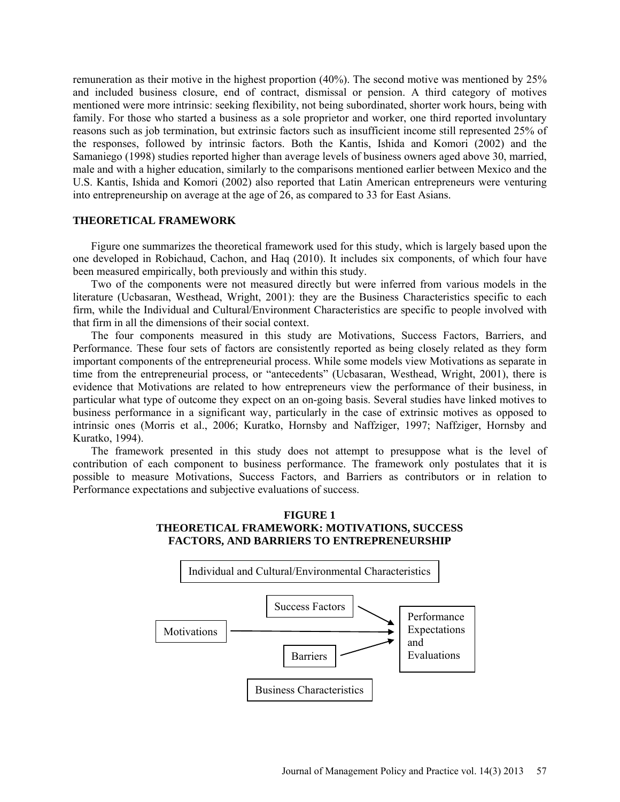remuneration as their motive in the highest proportion (40%). The second motive was mentioned by 25% and included business closure, end of contract, dismissal or pension. A third category of motives mentioned were more intrinsic: seeking flexibility, not being subordinated, shorter work hours, being with family. For those who started a business as a sole proprietor and worker, one third reported involuntary reasons such as job termination, but extrinsic factors such as insufficient income still represented 25% of the responses, followed by intrinsic factors. Both the Kantis, Ishida and Komori (2002) and the Samaniego (1998) studies reported higher than average levels of business owners aged above 30, married, male and with a higher education, similarly to the comparisons mentioned earlier between Mexico and the U.S. Kantis, Ishida and Komori (2002) also reported that Latin American entrepreneurs were venturing into entrepreneurship on average at the age of 26, as compared to 33 for East Asians.

### **THEORETICAL FRAMEWORK**

Figure one summarizes the theoretical framework used for this study, which is largely based upon the one developed in Robichaud, Cachon, and Haq (2010). It includes six components, of which four have been measured empirically, both previously and within this study.

Two of the components were not measured directly but were inferred from various models in the literature (Ucbasaran, Westhead, Wright, 2001): they are the Business Characteristics specific to each firm, while the Individual and Cultural/Environment Characteristics are specific to people involved with that firm in all the dimensions of their social context.

The four components measured in this study are Motivations, Success Factors, Barriers, and Performance. These four sets of factors are consistently reported as being closely related as they form important components of the entrepreneurial process. While some models view Motivations as separate in time from the entrepreneurial process, or "antecedents" (Ucbasaran, Westhead, Wright, 2001), there is evidence that Motivations are related to how entrepreneurs view the performance of their business, in particular what type of outcome they expect on an on-going basis. Several studies have linked motives to business performance in a significant way, particularly in the case of extrinsic motives as opposed to intrinsic ones (Morris et al., 2006; Kuratko, Hornsby and Naffziger, 1997; Naffziger, Hornsby and Kuratko, 1994).

The framework presented in this study does not attempt to presuppose what is the level of contribution of each component to business performance. The framework only postulates that it is possible to measure Motivations, Success Factors, and Barriers as contributors or in relation to Performance expectations and subjective evaluations of success.

## **FIGURE 1 THEORETICAL FRAMEWORK: MOTIVATIONS, SUCCESS FACTORS, AND BARRIERS TO ENTREPRENEURSHIP**

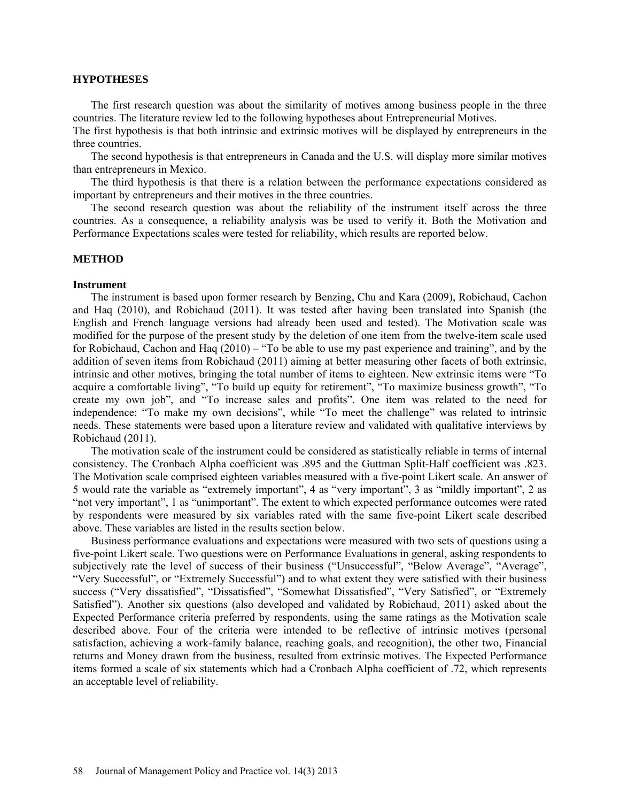#### **HYPOTHESES**

The first research question was about the similarity of motives among business people in the three countries. The literature review led to the following hypotheses about Entrepreneurial Motives.

The first hypothesis is that both intrinsic and extrinsic motives will be displayed by entrepreneurs in the three countries.

The second hypothesis is that entrepreneurs in Canada and the U.S. will display more similar motives than entrepreneurs in Mexico.

The third hypothesis is that there is a relation between the performance expectations considered as important by entrepreneurs and their motives in the three countries.

The second research question was about the reliability of the instrument itself across the three countries. As a consequence, a reliability analysis was be used to verify it. Both the Motivation and Performance Expectations scales were tested for reliability, which results are reported below.

### **METHOD**

#### **Instrument**

The instrument is based upon former research by Benzing, Chu and Kara (2009), Robichaud, Cachon and Haq (2010), and Robichaud (2011). It was tested after having been translated into Spanish (the English and French language versions had already been used and tested). The Motivation scale was modified for the purpose of the present study by the deletion of one item from the twelve-item scale used for Robichaud, Cachon and Haq (2010) – "To be able to use my past experience and training", and by the addition of seven items from Robichaud (2011) aiming at better measuring other facets of both extrinsic, intrinsic and other motives, bringing the total number of items to eighteen. New extrinsic items were "To acquire a comfortable living", "To build up equity for retirement", "To maximize business growth", "To create my own job", and "To increase sales and profits". One item was related to the need for independence: "To make my own decisions", while "To meet the challenge" was related to intrinsic needs. These statements were based upon a literature review and validated with qualitative interviews by Robichaud (2011).

The motivation scale of the instrument could be considered as statistically reliable in terms of internal consistency. The Cronbach Alpha coefficient was .895 and the Guttman Split-Half coefficient was .823. The Motivation scale comprised eighteen variables measured with a five-point Likert scale. An answer of 5 would rate the variable as "extremely important", 4 as "very important", 3 as "mildly important", 2 as "not very important", 1 as "unimportant". The extent to which expected performance outcomes were rated by respondents were measured by six variables rated with the same five-point Likert scale described above. These variables are listed in the results section below.

 Business performance evaluations and expectations were measured with two sets of questions using a five-point Likert scale. Two questions were on Performance Evaluations in general, asking respondents to subjectively rate the level of success of their business ("Unsuccessful", "Below Average", "Average", "Very Successful", or "Extremely Successful") and to what extent they were satisfied with their business success ("Very dissatisfied", "Dissatisfied", "Somewhat Dissatisfied", "Very Satisfied", or "Extremely Satisfied"). Another six questions (also developed and validated by Robichaud, 2011) asked about the Expected Performance criteria preferred by respondents, using the same ratings as the Motivation scale described above. Four of the criteria were intended to be reflective of intrinsic motives (personal satisfaction, achieving a work-family balance, reaching goals, and recognition), the other two, Financial returns and Money drawn from the business, resulted from extrinsic motives. The Expected Performance items formed a scale of six statements which had a Cronbach Alpha coefficient of .72, which represents an acceptable level of reliability.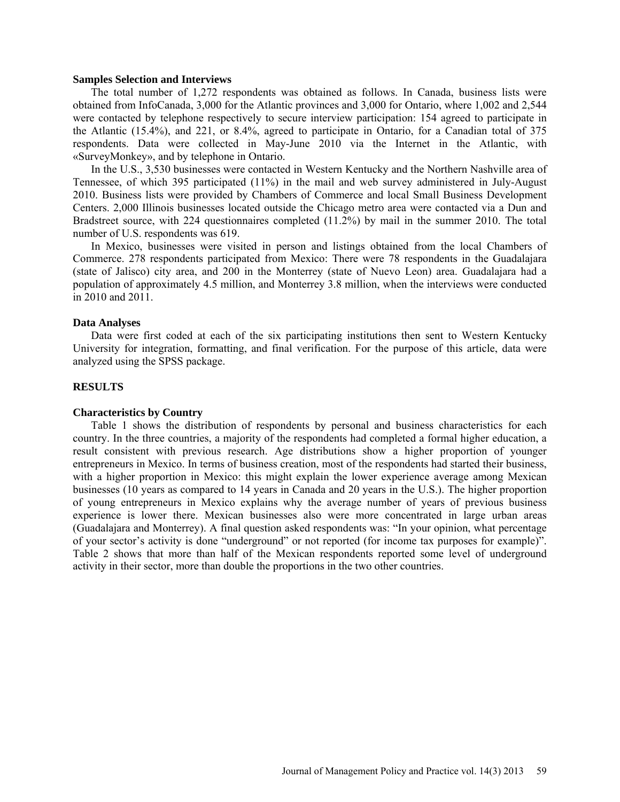#### **Samples Selection and Interviews**

The total number of 1,272 respondents was obtained as follows. In Canada, business lists were obtained from InfoCanada, 3,000 for the Atlantic provinces and 3,000 for Ontario, where 1,002 and 2,544 were contacted by telephone respectively to secure interview participation: 154 agreed to participate in the Atlantic (15.4%), and 221, or 8.4%, agreed to participate in Ontario, for a Canadian total of 375 respondents. Data were collected in May-June 2010 via the Internet in the Atlantic, with «SurveyMonkey», and by telephone in Ontario.

In the U.S., 3,530 businesses were contacted in Western Kentucky and the Northern Nashville area of Tennessee, of which 395 participated (11%) in the mail and web survey administered in July-August 2010. Business lists were provided by Chambers of Commerce and local Small Business Development Centers. 2,000 Illinois businesses located outside the Chicago metro area were contacted via a Dun and Bradstreet source, with 224 questionnaires completed (11.2%) by mail in the summer 2010. The total number of U.S. respondents was 619.

In Mexico, businesses were visited in person and listings obtained from the local Chambers of Commerce. 278 respondents participated from Mexico: There were 78 respondents in the Guadalajara (state of Jalisco) city area, and 200 in the Monterrey (state of Nuevo Leon) area. Guadalajara had a population of approximately 4.5 million, and Monterrey 3.8 million, when the interviews were conducted in 2010 and 2011.

#### **Data Analyses**

Data were first coded at each of the six participating institutions then sent to Western Kentucky University for integration, formatting, and final verification. For the purpose of this article, data were analyzed using the SPSS package.

### **RESULTS**

#### **Characteristics by Country**

Table 1 shows the distribution of respondents by personal and business characteristics for each country. In the three countries, a majority of the respondents had completed a formal higher education, a result consistent with previous research. Age distributions show a higher proportion of younger entrepreneurs in Mexico. In terms of business creation, most of the respondents had started their business, with a higher proportion in Mexico: this might explain the lower experience average among Mexican businesses (10 years as compared to 14 years in Canada and 20 years in the U.S.). The higher proportion of young entrepreneurs in Mexico explains why the average number of years of previous business experience is lower there. Mexican businesses also were more concentrated in large urban areas (Guadalajara and Monterrey). A final question asked respondents was: "In your opinion, what percentage of your sector's activity is done "underground" or not reported (for income tax purposes for example)". Table 2 shows that more than half of the Mexican respondents reported some level of underground activity in their sector, more than double the proportions in the two other countries.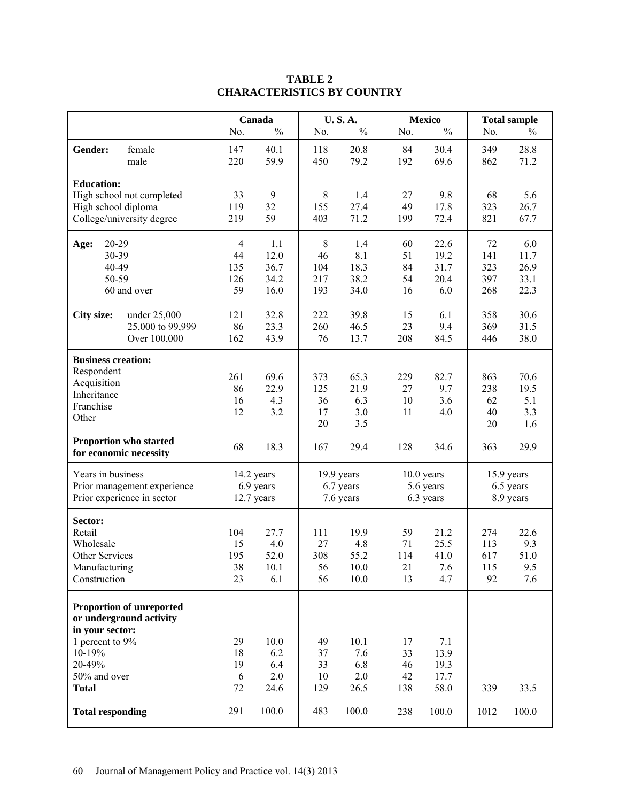# **TABLE 2 CHARACTERISTICS BY COUNTRY**

|                                                                                                                                                                                 |                                          | Canada                                     |                                    | <b>U.S.A.</b>                              |                                    | <b>Mexico</b>                                |                                | <b>Total sample</b>                  |
|---------------------------------------------------------------------------------------------------------------------------------------------------------------------------------|------------------------------------------|--------------------------------------------|------------------------------------|--------------------------------------------|------------------------------------|----------------------------------------------|--------------------------------|--------------------------------------|
|                                                                                                                                                                                 | No.                                      | $\frac{0}{0}$                              | No.                                | $\frac{0}{0}$                              | No.                                | $\frac{0}{0}$                                | No.                            | $\%$                                 |
| Gender:<br>female<br>male                                                                                                                                                       | 147<br>220                               | 40.1<br>59.9                               | 118<br>450                         | 20.8<br>79.2                               | 84<br>192                          | 30.4<br>69.6                                 | 349<br>862                     | 28.8<br>71.2                         |
| <b>Education:</b><br>High school not completed<br>High school diploma<br>College/university degree                                                                              | 33<br>119<br>219                         | 9<br>32<br>59                              | 8<br>155<br>403                    | 1.4<br>27.4<br>71.2                        | 27<br>49<br>199                    | 9.8<br>17.8<br>72.4                          | 68<br>323<br>821               | 5.6<br>26.7<br>67.7                  |
| 20-29<br>Age:<br>30-39<br>40-49<br>50-59<br>60 and over                                                                                                                         | $\overline{4}$<br>44<br>135<br>126<br>59 | 1.1<br>12.0<br>36.7<br>34.2<br>16.0        | 8<br>46<br>104<br>217<br>193       | 1.4<br>8.1<br>18.3<br>38.2<br>34.0         | 60<br>51<br>84<br>54<br>16         | 22.6<br>19.2<br>31.7<br>20.4<br>6.0          | 72<br>141<br>323<br>397<br>268 | 6.0<br>11.7<br>26.9<br>33.1<br>22.3  |
| <b>City size:</b><br>under 25,000<br>25,000 to 99,999<br>Over 100,000                                                                                                           | 121<br>86<br>162                         | 32.8<br>23.3<br>43.9                       | 222<br>260<br>76                   | 39.8<br>46.5<br>13.7                       | 15<br>23<br>208                    | 6.1<br>9.4<br>84.5                           | 358<br>369<br>446              | 30.6<br>31.5<br>38.0                 |
| <b>Business creation:</b><br>Respondent<br>Acquisition<br>Inheritance<br>Franchise<br>Other<br>Proportion who started                                                           | 261<br>86<br>16<br>12                    | 69.6<br>22.9<br>4.3<br>3.2                 | 373<br>125<br>36<br>17<br>20       | 65.3<br>21.9<br>6.3<br>3.0<br>3.5          | 229<br>27<br>10<br>11              | 82.7<br>9.7<br>3.6<br>4.0                    | 863<br>238<br>62<br>40<br>20   | 70.6<br>19.5<br>5.1<br>3.3<br>1.6    |
| for economic necessity                                                                                                                                                          | 68                                       | 18.3                                       | 167                                | 29.4                                       | 128                                | 34.6                                         | 363                            | 29.9                                 |
| Years in business<br>Prior management experience<br>Prior experience in sector                                                                                                  |                                          | 14.2 years<br>6.9 years<br>12.7 years      |                                    | 19.9 years<br>6.7 years<br>7.6 years       |                                    | $10.0$ years<br>5.6 years<br>6.3 years       |                                | 15.9 years<br>6.5 years<br>8.9 years |
| Sector:<br>Retail<br>Wholesale<br>Other Services<br>Manufacturing<br>Construction                                                                                               | 104<br>15<br>195<br>38<br>23             | 27.7<br>4.0<br>52.0<br>10.1<br>6.1         | 111<br>27<br>308<br>56<br>56       | 19.9<br>4.8<br>55.2<br>10.0<br>10.0        | 59<br>71<br>114<br>21<br>13        | 21.2<br>25.5<br>41.0<br>7.6<br>4.7           | 274<br>113<br>617<br>115<br>92 | 22.6<br>9.3<br>51.0<br>9.5<br>7.6    |
| <b>Proportion of unreported</b><br>or underground activity<br>in your sector:<br>1 percent to 9%<br>10-19%<br>20-49%<br>50% and over<br><b>Total</b><br><b>Total responding</b> | 29<br>18<br>19<br>6<br>72<br>291         | 10.0<br>6.2<br>6.4<br>2.0<br>24.6<br>100.0 | 49<br>37<br>33<br>10<br>129<br>483 | 10.1<br>7.6<br>6.8<br>2.0<br>26.5<br>100.0 | 17<br>33<br>46<br>42<br>138<br>238 | 7.1<br>13.9<br>19.3<br>17.7<br>58.0<br>100.0 | 339<br>1012                    | 33.5<br>100.0                        |
|                                                                                                                                                                                 |                                          |                                            |                                    |                                            |                                    |                                              |                                |                                      |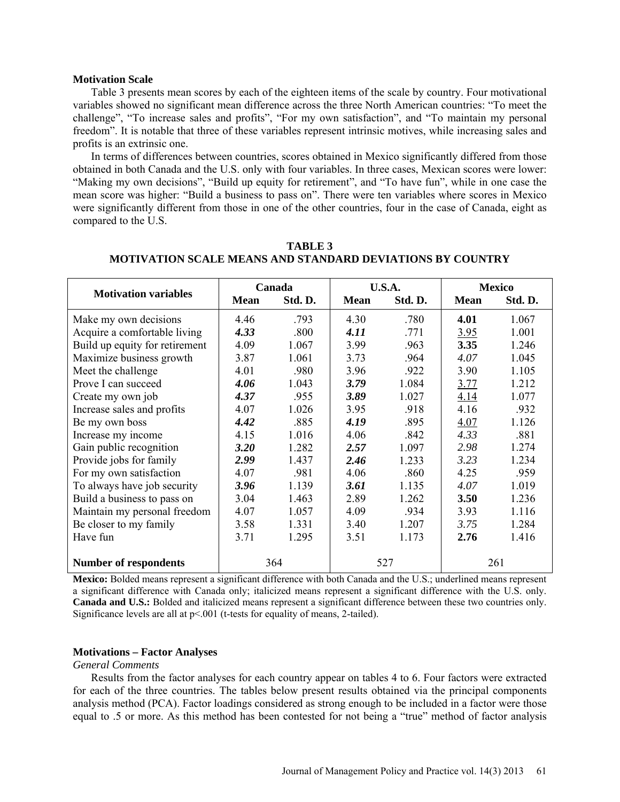#### **Motivation Scale**

Table 3 presents mean scores by each of the eighteen items of the scale by country. Four motivational variables showed no significant mean difference across the three North American countries: "To meet the challenge", "To increase sales and profits", "For my own satisfaction", and "To maintain my personal freedom". It is notable that three of these variables represent intrinsic motives, while increasing sales and profits is an extrinsic one.

In terms of differences between countries, scores obtained in Mexico significantly differed from those obtained in both Canada and the U.S. only with four variables. In three cases, Mexican scores were lower: "Making my own decisions", "Build up equity for retirement", and "To have fun", while in one case the mean score was higher: "Build a business to pass on". There were ten variables where scores in Mexico were significantly different from those in one of the other countries, four in the case of Canada, eight as compared to the U.S.

|                                                  |                        | Canada                                       |                | U.S.A.  | <b>Mexico</b> |         |
|--------------------------------------------------|------------------------|----------------------------------------------|----------------|---------|---------------|---------|
| <b>Motivation variables</b>                      | Std. D.<br><b>Mean</b> |                                              | <b>Mean</b>    | Std. D. | <b>Mean</b>   | Std. D. |
| Make my own decisions                            | 4.46                   | .793                                         | 4.30           | .780    | 4.01          | 1.067   |
| Acquire a comfortable living                     | 4.33                   | .800                                         | 4.11           | .771    | 3.95          | 1.001   |
| Build up equity for retirement                   | 4.09                   | 1.067                                        | 3.99           | .963    | 3.35          | 1.246   |
| Maximize business growth                         | 3.87                   | 1.061                                        | 3.73           | .964    | 4.07          | 1.045   |
| Meet the challenge                               | 4.01                   | .980                                         | 3.96           | .922    | 3.90          | 1.105   |
| Prove I can succeed                              | 4.06                   | 1.043                                        | 3.79           | 1.084   | 3.77          | 1.212   |
| Create my own job                                | 4.37                   | .955                                         | 3.89           | 1.027   | 4.14          | 1.077   |
| Increase sales and profits                       | 4.07                   | 1.026                                        | 3.95           | .918    | 4.16          | .932    |
| Be my own boss                                   | 4.42                   | .885                                         | 4.19           | .895    | 4.07          | 1.126   |
| Increase my income                               | 4.15                   | 1.016                                        | 4.06           | .842    | 4.33          | .881    |
| Gain public recognition                          | 3.20                   | 1.282                                        | 2.57           | 1.097   | 2.98          | 1.274   |
| Provide jobs for family                          | 2.99                   | 1.437                                        | 2.46           | 1.233   | 3.23          | 1.234   |
| For my own satisfaction                          | 4.07                   | .981                                         | 4.06           | .860    | 4.25          | .959    |
| To always have job security                      | 3.96                   | 1.139                                        | 3.61           | 1.135   | 4.07          | 1.019   |
| Build a business to pass on                      | 3.04                   | 1.463                                        | 2.89           | 1.262   | 3.50          | 1.236   |
| Maintain my personal freedom                     | 4.07                   | 1.057                                        | 4.09           | .934    | 3.93          | 1.116   |
| Be closer to my family                           | 3.58                   | 1.331                                        | 3.40           | 1.207   | 3.75          | 1.284   |
| Have fun                                         | 3.71                   | 1.295                                        | 3.51           | 1.173   | 2.76          | 1.416   |
|                                                  |                        |                                              |                |         |               |         |
| <b>Number of respondents</b><br><b>True Bill</b> | $\cdot \cdot \cdot$    | 364<br>1.00<br>$\mathbf{A}$ and $\mathbf{A}$ | 527<br>1.1.770 |         | 261           |         |

**TABLE 3 MOTIVATION SCALE MEANS AND STANDARD DEVIATIONS BY COUNTRY**

**Mexico:** Bolded means represent a significant difference with both Canada and the U.S.; underlined means represent a significant difference with Canada only; italicized means represent a significant difference with the U.S. only. **Canada and U.S.:** Bolded and italicized means represent a significant difference between these two countries only. Significance levels are all at p<.001 (t-tests for equality of means, 2-tailed).

#### **Motivations – Factor Analyses**

#### *General Comments*

Results from the factor analyses for each country appear on tables 4 to 6. Four factors were extracted for each of the three countries. The tables below present results obtained via the principal components analysis method (PCA). Factor loadings considered as strong enough to be included in a factor were those equal to .5 or more. As this method has been contested for not being a "true" method of factor analysis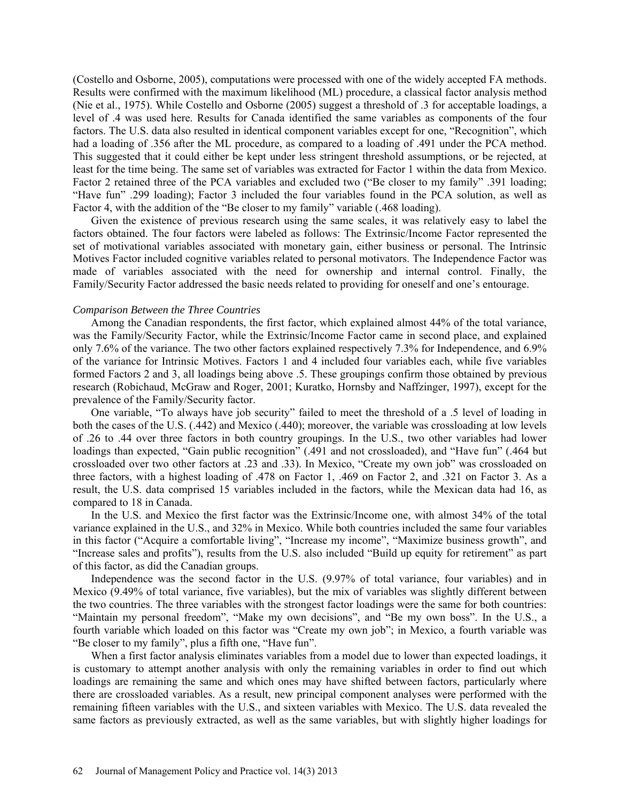(Costello and Osborne, 2005), computations were processed with one of the widely accepted FA methods. Results were confirmed with the maximum likelihood (ML) procedure, a classical factor analysis method (Nie et al., 1975). While Costello and Osborne (2005) suggest a threshold of .3 for acceptable loadings, a level of .4 was used here. Results for Canada identified the same variables as components of the four factors. The U.S. data also resulted in identical component variables except for one, "Recognition", which had a loading of .356 after the ML procedure, as compared to a loading of .491 under the PCA method. This suggested that it could either be kept under less stringent threshold assumptions, or be rejected, at least for the time being. The same set of variables was extracted for Factor 1 within the data from Mexico. Factor 2 retained three of the PCA variables and excluded two ("Be closer to my family" .391 loading; "Have fun" .299 loading); Factor 3 included the four variables found in the PCA solution, as well as Factor 4, with the addition of the "Be closer to my family" variable (.468 loading).

Given the existence of previous research using the same scales, it was relatively easy to label the factors obtained. The four factors were labeled as follows: The Extrinsic/Income Factor represented the set of motivational variables associated with monetary gain, either business or personal. The Intrinsic Motives Factor included cognitive variables related to personal motivators. The Independence Factor was made of variables associated with the need for ownership and internal control. Finally, the Family/Security Factor addressed the basic needs related to providing for oneself and one's entourage.

#### *Comparison Between the Three Countries*

Among the Canadian respondents, the first factor, which explained almost 44% of the total variance, was the Family/Security Factor, while the Extrinsic/Income Factor came in second place, and explained only 7.6% of the variance. The two other factors explained respectively 7.3% for Independence, and 6.9% of the variance for Intrinsic Motives. Factors 1 and 4 included four variables each, while five variables formed Factors 2 and 3, all loadings being above .5. These groupings confirm those obtained by previous research (Robichaud, McGraw and Roger, 2001; Kuratko, Hornsby and Naffzinger, 1997), except for the prevalence of the Family/Security factor.

One variable, "To always have job security" failed to meet the threshold of a .5 level of loading in both the cases of the U.S. (.442) and Mexico (.440); moreover, the variable was crossloading at low levels of .26 to .44 over three factors in both country groupings. In the U.S., two other variables had lower loadings than expected, "Gain public recognition" (.491 and not crossloaded), and "Have fun" (.464 but crossloaded over two other factors at .23 and .33). In Mexico, "Create my own job" was crossloaded on three factors, with a highest loading of .478 on Factor 1, .469 on Factor 2, and .321 on Factor 3. As a result, the U.S. data comprised 15 variables included in the factors, while the Mexican data had 16, as compared to 18 in Canada.

In the U.S. and Mexico the first factor was the Extrinsic/Income one, with almost 34% of the total variance explained in the U.S., and 32% in Mexico. While both countries included the same four variables in this factor ("Acquire a comfortable living", "Increase my income", "Maximize business growth", and "Increase sales and profits"), results from the U.S. also included "Build up equity for retirement" as part of this factor, as did the Canadian groups.

Independence was the second factor in the U.S. (9.97% of total variance, four variables) and in Mexico (9.49% of total variance, five variables), but the mix of variables was slightly different between the two countries. The three variables with the strongest factor loadings were the same for both countries: "Maintain my personal freedom", "Make my own decisions", and "Be my own boss". In the U.S., a fourth variable which loaded on this factor was "Create my own job"; in Mexico, a fourth variable was "Be closer to my family", plus a fifth one, "Have fun".

When a first factor analysis eliminates variables from a model due to lower than expected loadings, it is customary to attempt another analysis with only the remaining variables in order to find out which loadings are remaining the same and which ones may have shifted between factors, particularly where there are crossloaded variables. As a result, new principal component analyses were performed with the remaining fifteen variables with the U.S., and sixteen variables with Mexico. The U.S. data revealed the same factors as previously extracted, as well as the same variables, but with slightly higher loadings for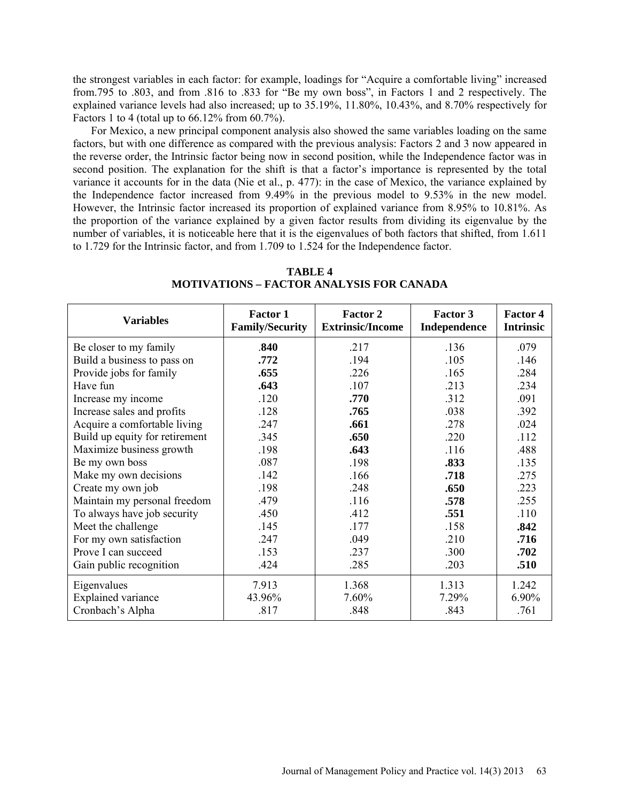the strongest variables in each factor: for example, loadings for "Acquire a comfortable living" increased from.795 to .803, and from .816 to .833 for "Be my own boss", in Factors 1 and 2 respectively. The explained variance levels had also increased; up to 35.19%, 11.80%, 10.43%, and 8.70% respectively for Factors 1 to 4 (total up to 66.12% from 60.7%).

For Mexico, a new principal component analysis also showed the same variables loading on the same factors, but with one difference as compared with the previous analysis: Factors 2 and 3 now appeared in the reverse order, the Intrinsic factor being now in second position, while the Independence factor was in second position. The explanation for the shift is that a factor's importance is represented by the total variance it accounts for in the data (Nie et al., p. 477): in the case of Mexico, the variance explained by the Independence factor increased from 9.49% in the previous model to 9.53% in the new model. However, the Intrinsic factor increased its proportion of explained variance from 8.95% to 10.81%. As the proportion of the variance explained by a given factor results from dividing its eigenvalue by the number of variables, it is noticeable here that it is the eigenvalues of both factors that shifted, from 1.611 to 1.729 for the Intrinsic factor, and from 1.709 to 1.524 for the Independence factor.

| <b>Variables</b>               | <b>Factor 1</b><br><b>Family/Security</b> | <b>Factor 2</b><br><b>Extrinsic/Income</b> | Factor 3<br>Independence | <b>Factor 4</b><br><b>Intrinsic</b> |
|--------------------------------|-------------------------------------------|--------------------------------------------|--------------------------|-------------------------------------|
| Be closer to my family         | .840                                      | .217                                       | .136                     | .079                                |
| Build a business to pass on    | .772                                      | .194                                       | .105                     | .146                                |
| Provide jobs for family        | .655                                      | .226                                       | .165                     | .284                                |
| Have fun                       | .643                                      | .107                                       | .213                     | .234                                |
| Increase my income             | .120                                      | .770                                       | .312                     | .091                                |
| Increase sales and profits     | .128                                      | .765                                       | .038                     | .392                                |
| Acquire a comfortable living   | .247                                      | .661                                       | .278                     | .024                                |
| Build up equity for retirement | .345                                      | .650                                       | .220                     | .112                                |
| Maximize business growth       | .198                                      | .643                                       | .116                     | .488                                |
| Be my own boss                 | .087                                      | .198                                       | .833                     | .135                                |
| Make my own decisions          | .142                                      | .166                                       | .718                     | .275                                |
| Create my own job              | .198                                      | .248                                       | .650                     | .223                                |
| Maintain my personal freedom   | .479                                      | .116                                       | .578                     | .255                                |
| To always have job security    | .450                                      | .412                                       | .551                     | .110                                |
| Meet the challenge             | .145                                      | .177                                       | .158                     | .842                                |
| For my own satisfaction        | .247                                      | .049                                       | .210                     | .716                                |
| Prove I can succeed            | .153                                      | .237                                       | .300                     | .702                                |
| Gain public recognition        | .424                                      | .285                                       | .203                     | .510                                |
| Eigenvalues                    | 7.913                                     | 1.368                                      | 1.313                    | 1.242                               |
| <b>Explained variance</b>      | 43.96%                                    | 7.60%                                      | 7.29%                    | 6.90%                               |
| Cronbach's Alpha               | .817                                      | .848                                       | .843                     | .761                                |

### **TABLE 4 MOTIVATIONS – FACTOR ANALYSIS FOR CANADA**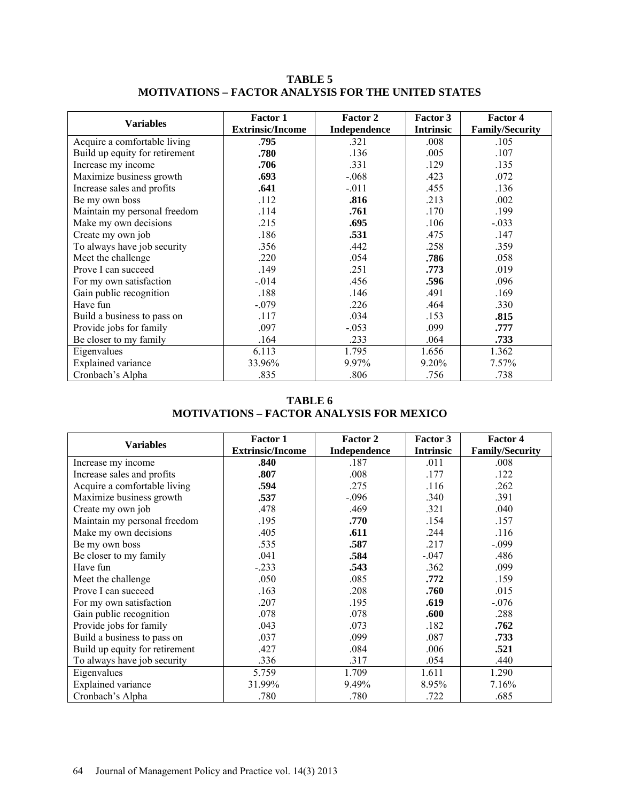| <b>Variables</b>               | <b>Factor 1</b>         | <b>Factor 2</b> | Factor 3         | <b>Factor 4</b>        |
|--------------------------------|-------------------------|-----------------|------------------|------------------------|
|                                | <b>Extrinsic/Income</b> | Independence    | <b>Intrinsic</b> | <b>Family/Security</b> |
| Acquire a comfortable living   | .795                    | .321            | .008             | .105                   |
| Build up equity for retirement | .780                    | .136            | .005             | .107                   |
| Increase my income             | .706                    | .331            | .129             | .135                   |
| Maximize business growth       | .693                    | $-.068$         | .423             | .072                   |
| Increase sales and profits     | .641                    | $-.011$         | .455             | .136                   |
| Be my own boss                 | .112                    | .816            | .213             | .002                   |
| Maintain my personal freedom   | .114                    | .761            | .170             | .199                   |
| Make my own decisions          | .215                    | .695            | .106             | $-.033$                |
| Create my own job              | .186                    | .531            | .475             | .147                   |
| To always have job security    | .356                    | .442            | .258             | .359                   |
| Meet the challenge             | .220                    | .054            | .786             | .058                   |
| Prove I can succeed            | .149                    | .251            | .773             | .019                   |
| For my own satisfaction        | $-.014$                 | .456            | .596             | .096                   |
| Gain public recognition        | .188                    | .146            | .491             | .169                   |
| Have fun                       | $-.079$                 | .226            | .464             | .330                   |
| Build a business to pass on    | .117                    | .034            | .153             | .815                   |
| Provide jobs for family        | .097                    | $-.053$         | .099             | .777                   |
| Be closer to my family         | .164                    | .233            | .064             | .733                   |
| Eigenvalues                    | 6.113                   | 1.795           | 1.656            | 1.362                  |
| <b>Explained</b> variance      | 33.96%                  | 9.97%           | 9.20%            | 7.57%                  |
| Cronbach's Alpha               | .835                    | .806            | .756             | .738                   |

**TABLE 5 MOTIVATIONS – FACTOR ANALYSIS FOR THE UNITED STATES**

**TABLE 6 MOTIVATIONS – FACTOR ANALYSIS FOR MEXICO**

| <b>Variables</b>               | <b>Factor 1</b>         | Factor 2     | Factor 3         | <b>Factor 4</b>        |
|--------------------------------|-------------------------|--------------|------------------|------------------------|
|                                | <b>Extrinsic/Income</b> | Independence | <b>Intrinsic</b> | <b>Family/Security</b> |
| Increase my income             | .840                    | .187         | .011             | .008                   |
| Increase sales and profits     | .807                    | .008         | .177             | .122                   |
| Acquire a comfortable living   | .594                    | .275         | .116             | .262                   |
| Maximize business growth       | .537                    | $-.096$      | .340             | .391                   |
| Create my own job              | .478                    | .469         | .321             | .040                   |
| Maintain my personal freedom   | .195                    | .770         | .154             | .157                   |
| Make my own decisions          | .405                    | .611         | .244             | .116                   |
| Be my own boss                 | .535                    | .587         | .217             | $-.099$                |
| Be closer to my family         | .041                    | .584         | $-.047$          | .486                   |
| Have fun                       | $-.233$                 | .543         | .362             | .099                   |
| Meet the challenge             | .050                    | .085         | .772             | .159                   |
| Prove I can succeed            | .163                    | .208         | .760             | .015                   |
| For my own satisfaction        | .207                    | .195         | .619             | $-.076$                |
| Gain public recognition        | .078                    | .078         | .600             | .288                   |
| Provide jobs for family        | .043                    | .073         | .182             | .762                   |
| Build a business to pass on    | .037                    | .099         | .087             | .733                   |
| Build up equity for retirement | .427                    | .084         | .006             | .521                   |
| To always have job security    | .336                    | .317         | .054             | .440                   |
| Eigenvalues                    | 5.759                   | 1.709        | 1.611            | 1.290                  |
| <b>Explained</b> variance      | 31.99%                  | 9.49%        | 8.95%            | 7.16%                  |
| Cronbach's Alpha               | .780                    | .780         | .722             | .685                   |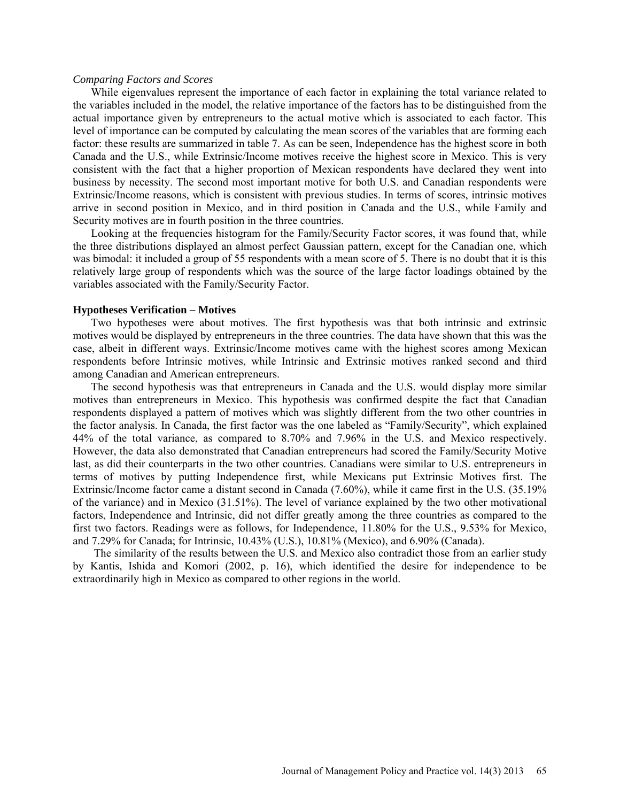#### *Comparing Factors and Scores*

While eigenvalues represent the importance of each factor in explaining the total variance related to the variables included in the model, the relative importance of the factors has to be distinguished from the actual importance given by entrepreneurs to the actual motive which is associated to each factor. This level of importance can be computed by calculating the mean scores of the variables that are forming each factor: these results are summarized in table 7. As can be seen, Independence has the highest score in both Canada and the U.S., while Extrinsic/Income motives receive the highest score in Mexico. This is very consistent with the fact that a higher proportion of Mexican respondents have declared they went into business by necessity. The second most important motive for both U.S. and Canadian respondents were Extrinsic/Income reasons, which is consistent with previous studies. In terms of scores, intrinsic motives arrive in second position in Mexico, and in third position in Canada and the U.S., while Family and Security motives are in fourth position in the three countries.

Looking at the frequencies histogram for the Family/Security Factor scores, it was found that, while the three distributions displayed an almost perfect Gaussian pattern, except for the Canadian one, which was bimodal: it included a group of 55 respondents with a mean score of 5. There is no doubt that it is this relatively large group of respondents which was the source of the large factor loadings obtained by the variables associated with the Family/Security Factor.

#### **Hypotheses Verification – Motives**

Two hypotheses were about motives. The first hypothesis was that both intrinsic and extrinsic motives would be displayed by entrepreneurs in the three countries. The data have shown that this was the case, albeit in different ways. Extrinsic/Income motives came with the highest scores among Mexican respondents before Intrinsic motives, while Intrinsic and Extrinsic motives ranked second and third among Canadian and American entrepreneurs.

The second hypothesis was that entrepreneurs in Canada and the U.S. would display more similar motives than entrepreneurs in Mexico. This hypothesis was confirmed despite the fact that Canadian respondents displayed a pattern of motives which was slightly different from the two other countries in the factor analysis. In Canada, the first factor was the one labeled as "Family/Security", which explained 44% of the total variance, as compared to 8.70% and 7.96% in the U.S. and Mexico respectively. However, the data also demonstrated that Canadian entrepreneurs had scored the Family/Security Motive last, as did their counterparts in the two other countries. Canadians were similar to U.S. entrepreneurs in terms of motives by putting Independence first, while Mexicans put Extrinsic Motives first. The Extrinsic/Income factor came a distant second in Canada (7.60%), while it came first in the U.S. (35.19% of the variance) and in Mexico (31.51%). The level of variance explained by the two other motivational factors, Independence and Intrinsic, did not differ greatly among the three countries as compared to the first two factors. Readings were as follows, for Independence, 11.80% for the U.S., 9.53% for Mexico, and 7.29% for Canada; for Intrinsic, 10.43% (U.S.), 10.81% (Mexico), and 6.90% (Canada).

 The similarity of the results between the U.S. and Mexico also contradict those from an earlier study by Kantis, Ishida and Komori (2002, p. 16), which identified the desire for independence to be extraordinarily high in Mexico as compared to other regions in the world.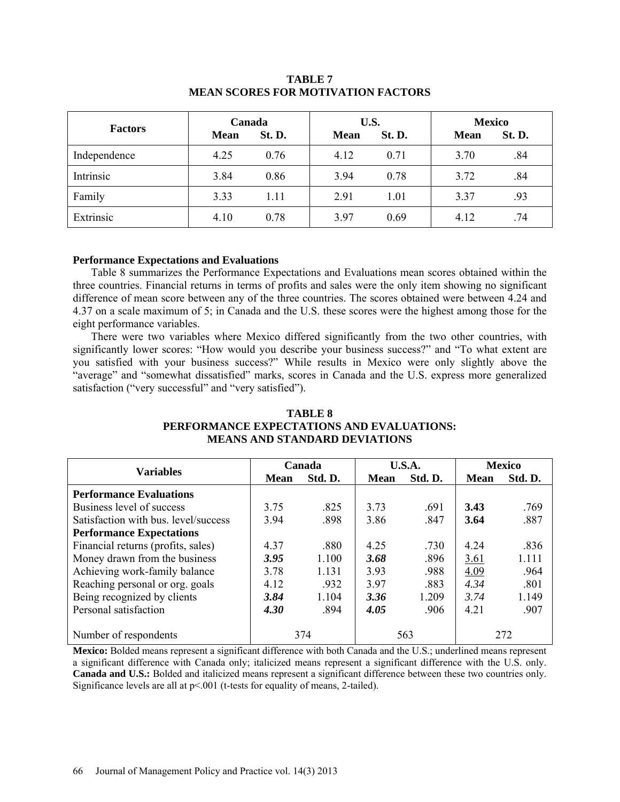| <b>Factors</b> | Canada<br><b>Mean</b> | St. D. | U.S.<br><b>Mean</b> | St. D. | <b>Mexico</b><br><b>Mean</b> | St. D. |
|----------------|-----------------------|--------|---------------------|--------|------------------------------|--------|
| Independence   | 4.25                  | 0.76   | 4.12                | 0.71   | 3.70                         | .84    |
| Intrinsic      | 3.84                  | 0.86   | 3.94                | 0.78   | 3.72                         | .84    |
| Family         | 3.33                  | 1.11   | 2.91                | 1.01   | 3.37                         | .93    |
| Extrinsic      | 4.10                  | 0.78   | 3.97                | 0.69   | 4.12                         | .74    |

# **TABLE 7 MEAN SCORES FOR MOTIVATION FACTORS**

## **Performance Expectations and Evaluations**

Table 8 summarizes the Performance Expectations and Evaluations mean scores obtained within the three countries. Financial returns in terms of profits and sales were the only item showing no significant difference of mean score between any of the three countries. The scores obtained were between 4.24 and 4.37 on a scale maximum of 5; in Canada and the U.S. these scores were the highest among those for the eight performance variables.

There were two variables where Mexico differed significantly from the two other countries, with significantly lower scores: "How would you describe your business success?" and "To what extent are you satisfied with your business success?" While results in Mexico were only slightly above the "average" and "somewhat dissatisfied" marks, scores in Canada and the U.S. express more generalized satisfaction ("very successful" and "very satisfied").

## **TABLE 8 PERFORMANCE EXPECTATIONS AND EVALUATIONS: MEANS AND STANDARD DEVIATIONS**

|                                      |      | Canada  | U.S.A.      |         | <b>Mexico</b> |         |
|--------------------------------------|------|---------|-------------|---------|---------------|---------|
| <b>Variables</b>                     | Mean | Std. D. | <b>Mean</b> | Std. D. | <b>Mean</b>   | Std. D. |
| <b>Performance Evaluations</b>       |      |         |             |         |               |         |
| Business level of success            | 3.75 | .825    | 3.73        | .691    | 3.43          | .769    |
| Satisfaction with bus. level/success | 3.94 | .898    | 3.86        | .847    | 3.64          | .887    |
| <b>Performance Expectations</b>      |      |         |             |         |               |         |
| Financial returns (profits, sales)   | 4.37 | .880    | 4.25        | .730    | 4 2 4         | .836    |
| Money drawn from the business        | 3.95 | 1.100   | 3.68        | .896    | <u>3.61</u>   | 1.111   |
| Achieving work-family balance        | 3.78 | 1.131   | 3.93        | .988    | 4.09          | .964    |
| Reaching personal or org. goals      | 4.12 | .932    | 3.97        | .883    | 4.34          | .801    |
| Being recognized by clients          | 3.84 | 1.104   | 3.36        | 1.209   | 3.74          | 1.149   |
| Personal satisfaction                | 4.30 | .894    | 4.05        | .906    | 4 2 1         | .907    |
| Number of respondents                |      | 374     |             | 563     |               | 272     |

**Mexico:** Bolded means represent a significant difference with both Canada and the U.S.; underlined means represent a significant difference with Canada only; italicized means represent a significant difference with the U.S. only. **Canada and U.S.:** Bolded and italicized means represent a significant difference between these two countries only. Significance levels are all at  $p \le 0.001$  (t-tests for equality of means, 2-tailed).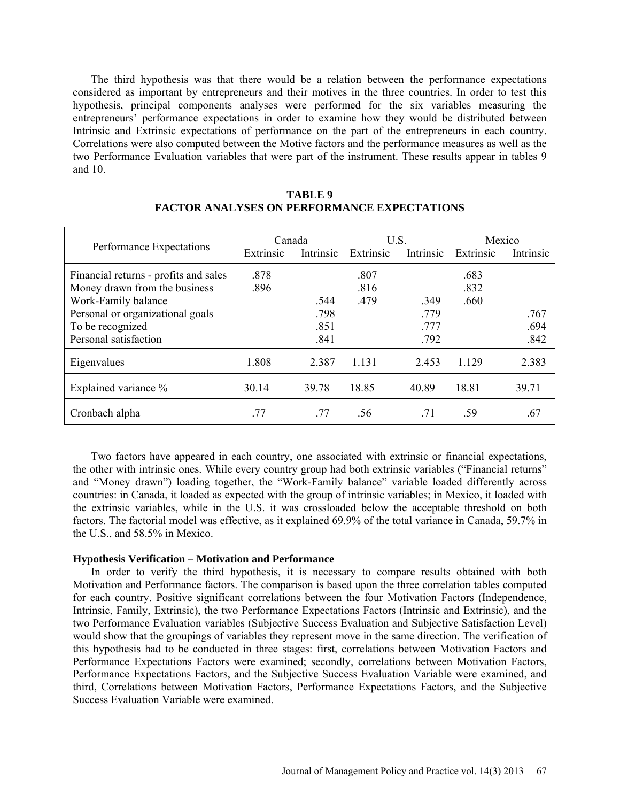The third hypothesis was that there would be a relation between the performance expectations considered as important by entrepreneurs and their motives in the three countries. In order to test this hypothesis, principal components analyses were performed for the six variables measuring the entrepreneurs' performance expectations in order to examine how they would be distributed between Intrinsic and Extrinsic expectations of performance on the part of the entrepreneurs in each country. Correlations were also computed between the Motive factors and the performance measures as well as the two Performance Evaluation variables that were part of the instrument. These results appear in tables 9 and 10.

|                                                                        | Canada       |           | U.S.         |           | Mexico       |           |
|------------------------------------------------------------------------|--------------|-----------|--------------|-----------|--------------|-----------|
| Performance Expectations                                               | Extrinsic    | Intrinsic | Extrinsic    | Intrinsic | Extrinsic    | Intrinsic |
| Financial returns - profits and sales<br>Money drawn from the business | .878<br>.896 |           | .807<br>.816 |           | .683<br>.832 |           |
| Work-Family balance                                                    |              | .544      | .479         | .349      | .660         |           |
| Personal or organizational goals                                       |              | .798      |              | .779      |              | .767      |
| To be recognized                                                       |              | .851      |              | .777      |              | .694      |
| Personal satisfaction                                                  |              | .841      |              | .792      |              | .842      |
| Eigenvalues                                                            | 1.808        | 2.387     | 1.131        | 2.453     | 1.129        | 2.383     |
| Explained variance %                                                   | 30.14        | 39.78     | 18.85        | 40.89     | 18.81        | 39.71     |
| Cronbach alpha                                                         | .77          | .77       | .56          | .71       | .59          | .67       |

## **TABLE 9 FACTOR ANALYSES ON PERFORMANCE EXPECTATIONS**

Two factors have appeared in each country, one associated with extrinsic or financial expectations, the other with intrinsic ones. While every country group had both extrinsic variables ("Financial returns" and "Money drawn") loading together, the "Work-Family balance" variable loaded differently across countries: in Canada, it loaded as expected with the group of intrinsic variables; in Mexico, it loaded with the extrinsic variables, while in the U.S. it was crossloaded below the acceptable threshold on both factors. The factorial model was effective, as it explained 69.9% of the total variance in Canada, 59.7% in the U.S., and 58.5% in Mexico.

## **Hypothesis Verification – Motivation and Performance**

In order to verify the third hypothesis, it is necessary to compare results obtained with both Motivation and Performance factors. The comparison is based upon the three correlation tables computed for each country. Positive significant correlations between the four Motivation Factors (Independence, Intrinsic, Family, Extrinsic), the two Performance Expectations Factors (Intrinsic and Extrinsic), and the two Performance Evaluation variables (Subjective Success Evaluation and Subjective Satisfaction Level) would show that the groupings of variables they represent move in the same direction. The verification of this hypothesis had to be conducted in three stages: first, correlations between Motivation Factors and Performance Expectations Factors were examined; secondly, correlations between Motivation Factors, Performance Expectations Factors, and the Subjective Success Evaluation Variable were examined, and third, Correlations between Motivation Factors, Performance Expectations Factors, and the Subjective Success Evaluation Variable were examined.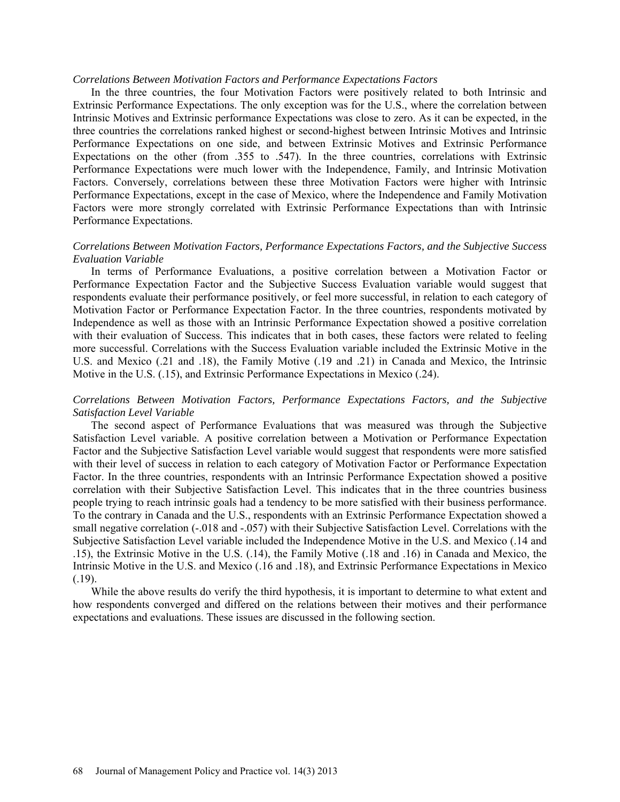### *Correlations Between Motivation Factors and Performance Expectations Factors*

In the three countries, the four Motivation Factors were positively related to both Intrinsic and Extrinsic Performance Expectations. The only exception was for the U.S., where the correlation between Intrinsic Motives and Extrinsic performance Expectations was close to zero. As it can be expected, in the three countries the correlations ranked highest or second-highest between Intrinsic Motives and Intrinsic Performance Expectations on one side, and between Extrinsic Motives and Extrinsic Performance Expectations on the other (from .355 to .547). In the three countries, correlations with Extrinsic Performance Expectations were much lower with the Independence, Family, and Intrinsic Motivation Factors. Conversely, correlations between these three Motivation Factors were higher with Intrinsic Performance Expectations, except in the case of Mexico, where the Independence and Family Motivation Factors were more strongly correlated with Extrinsic Performance Expectations than with Intrinsic Performance Expectations.

## *Correlations Between Motivation Factors, Performance Expectations Factors, and the Subjective Success Evaluation Variable*

In terms of Performance Evaluations, a positive correlation between a Motivation Factor or Performance Expectation Factor and the Subjective Success Evaluation variable would suggest that respondents evaluate their performance positively, or feel more successful, in relation to each category of Motivation Factor or Performance Expectation Factor. In the three countries, respondents motivated by Independence as well as those with an Intrinsic Performance Expectation showed a positive correlation with their evaluation of Success. This indicates that in both cases, these factors were related to feeling more successful. Correlations with the Success Evaluation variable included the Extrinsic Motive in the U.S. and Mexico (.21 and .18), the Family Motive (.19 and .21) in Canada and Mexico, the Intrinsic Motive in the U.S. (.15), and Extrinsic Performance Expectations in Mexico (.24).

## *Correlations Between Motivation Factors, Performance Expectations Factors, and the Subjective Satisfaction Level Variable*

The second aspect of Performance Evaluations that was measured was through the Subjective Satisfaction Level variable. A positive correlation between a Motivation or Performance Expectation Factor and the Subjective Satisfaction Level variable would suggest that respondents were more satisfied with their level of success in relation to each category of Motivation Factor or Performance Expectation Factor. In the three countries, respondents with an Intrinsic Performance Expectation showed a positive correlation with their Subjective Satisfaction Level. This indicates that in the three countries business people trying to reach intrinsic goals had a tendency to be more satisfied with their business performance. To the contrary in Canada and the U.S., respondents with an Extrinsic Performance Expectation showed a small negative correlation (-.018 and -.057) with their Subjective Satisfaction Level. Correlations with the Subjective Satisfaction Level variable included the Independence Motive in the U.S. and Mexico (.14 and .15), the Extrinsic Motive in the U.S. (.14), the Family Motive (.18 and .16) in Canada and Mexico, the Intrinsic Motive in the U.S. and Mexico (.16 and .18), and Extrinsic Performance Expectations in Mexico (.19).

While the above results do verify the third hypothesis, it is important to determine to what extent and how respondents converged and differed on the relations between their motives and their performance expectations and evaluations. These issues are discussed in the following section.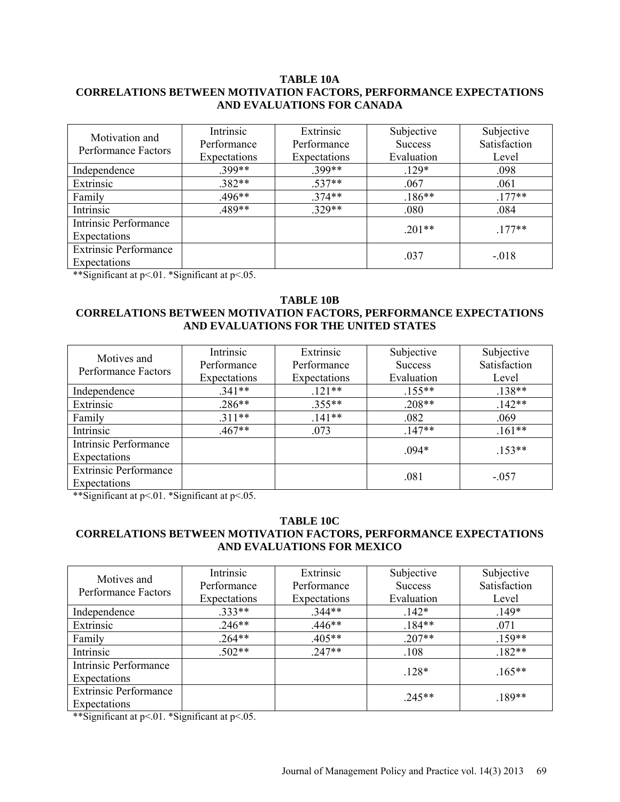## **TABLE 10A CORRELATIONS BETWEEN MOTIVATION FACTORS, PERFORMANCE EXPECTATIONS AND EVALUATIONS FOR CANADA**

| Motivation and<br>Performance Factors | Intrinsic<br>Performance<br>Expectations | Extrinsic<br>Performance<br>Expectations | Subjective<br><b>Success</b><br>Evaluation | Subjective<br>Satisfaction<br>Level |
|---------------------------------------|------------------------------------------|------------------------------------------|--------------------------------------------|-------------------------------------|
| Independence                          | .399**                                   | .399**                                   | $.129*$                                    | .098                                |
| Extrinsic                             | $.382**$                                 | $.537**$                                 | .067                                       | .061                                |
| Family                                | $.496**$                                 | $.374**$                                 | $.186**$                                   | $.177**$                            |
| Intrinsic                             | .489**                                   | .329**                                   | .080                                       | .084                                |
| Intrinsic Performance                 |                                          |                                          | $.201**$                                   | $.177**$                            |
| Expectations                          |                                          |                                          |                                            |                                     |
| <b>Extrinsic Performance</b>          |                                          |                                          | .037                                       | $-.018$                             |
| Expectations                          |                                          |                                          |                                            |                                     |

\*\*Significant at p<.01. \*Significant at p<.05.

# **TABLE 10B**

# **CORRELATIONS BETWEEN MOTIVATION FACTORS, PERFORMANCE EXPECTATIONS AND EVALUATIONS FOR THE UNITED STATES**

| Motives and<br>Performance Factors | Intrinsic<br>Performance | Extrinsic<br>Performance | Subjective<br><b>Success</b> | Subjective<br>Satisfaction |
|------------------------------------|--------------------------|--------------------------|------------------------------|----------------------------|
|                                    | Expectations             | Expectations             | Evaluation                   | Level                      |
| Independence                       | $.341**$                 | $.121**$                 | $.155***$                    | $.138**$                   |
| Extrinsic                          | $.286**$                 | $.355**$                 | $.208**$                     | $.142**$                   |
| Family                             | $.311**$                 | $.141**$                 | .082                         | .069                       |
| Intrinsic                          | $.467**$                 | .073                     | $.147**$                     | $.161**$                   |
| Intrinsic Performance              |                          |                          | $.094*$                      | $.153**$                   |
| Expectations                       |                          |                          |                              |                            |
| <b>Extrinsic Performance</b>       |                          |                          | .081                         | $-.057$                    |
| Expectations                       |                          |                          |                              |                            |

\*\*Significant at p<.01. \*Significant at p<.05.

# **TABLE 10C CORRELATIONS BETWEEN MOTIVATION FACTORS, PERFORMANCE EXPECTATIONS AND EVALUATIONS FOR MEXICO**

| Motives and                  | Intrinsic    | Extrinsic    | Subjective     | Subjective   |
|------------------------------|--------------|--------------|----------------|--------------|
| Performance Factors          | Performance  | Performance  | <b>Success</b> | Satisfaction |
|                              | Expectations | Expectations | Evaluation     | Level        |
| Independence                 | $.333**$     | $344**$      | $142*$         | $.149*$      |
| Extrinsic                    | $.246**$     | $.446**$     | $.184**$       | .071         |
| Family                       | $.264**$     | $.405**$     | $.207**$       | $.159**$     |
| Intrinsic                    | $.502**$     | $.247**$     | .108           | $.182**$     |
| Intrinsic Performance        |              |              | $128*$         | $.165**$     |
| Expectations                 |              |              |                |              |
| <b>Extrinsic Performance</b> |              |              | $.245**$       | $.189**$     |
| Expectations                 |              |              |                |              |

\*\*Significant at p<.01. \*Significant at p<.05.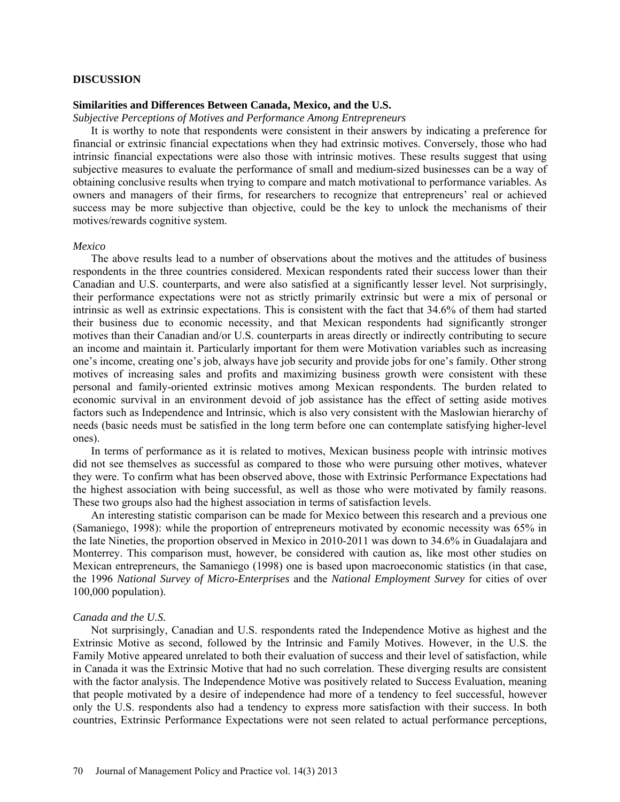#### **DISCUSSION**

## **Similarities and Differences Between Canada, Mexico, and the U.S.**

*Subjective Perceptions of Motives and Performance Among Entrepreneurs*

It is worthy to note that respondents were consistent in their answers by indicating a preference for financial or extrinsic financial expectations when they had extrinsic motives. Conversely, those who had intrinsic financial expectations were also those with intrinsic motives. These results suggest that using subjective measures to evaluate the performance of small and medium-sized businesses can be a way of obtaining conclusive results when trying to compare and match motivational to performance variables. As owners and managers of their firms, for researchers to recognize that entrepreneurs' real or achieved success may be more subjective than objective, could be the key to unlock the mechanisms of their motives/rewards cognitive system.

#### *Mexico*

The above results lead to a number of observations about the motives and the attitudes of business respondents in the three countries considered. Mexican respondents rated their success lower than their Canadian and U.S. counterparts, and were also satisfied at a significantly lesser level. Not surprisingly, their performance expectations were not as strictly primarily extrinsic but were a mix of personal or intrinsic as well as extrinsic expectations. This is consistent with the fact that 34.6% of them had started their business due to economic necessity, and that Mexican respondents had significantly stronger motives than their Canadian and/or U.S. counterparts in areas directly or indirectly contributing to secure an income and maintain it. Particularly important for them were Motivation variables such as increasing one's income, creating one's job, always have job security and provide jobs for one's family. Other strong motives of increasing sales and profits and maximizing business growth were consistent with these personal and family-oriented extrinsic motives among Mexican respondents. The burden related to economic survival in an environment devoid of job assistance has the effect of setting aside motives factors such as Independence and Intrinsic, which is also very consistent with the Maslowian hierarchy of needs (basic needs must be satisfied in the long term before one can contemplate satisfying higher-level ones).

In terms of performance as it is related to motives, Mexican business people with intrinsic motives did not see themselves as successful as compared to those who were pursuing other motives, whatever they were. To confirm what has been observed above, those with Extrinsic Performance Expectations had the highest association with being successful, as well as those who were motivated by family reasons. These two groups also had the highest association in terms of satisfaction levels.

An interesting statistic comparison can be made for Mexico between this research and a previous one (Samaniego, 1998): while the proportion of entrepreneurs motivated by economic necessity was 65% in the late Nineties, the proportion observed in Mexico in 2010-2011 was down to 34.6% in Guadalajara and Monterrey. This comparison must, however, be considered with caution as, like most other studies on Mexican entrepreneurs, the Samaniego (1998) one is based upon macroeconomic statistics (in that case, the 1996 *National Survey of Micro-Enterprises* and the *National Employment Survey* for cities of over 100,000 population).

#### *Canada and the U.S.*

Not surprisingly, Canadian and U.S. respondents rated the Independence Motive as highest and the Extrinsic Motive as second, followed by the Intrinsic and Family Motives. However, in the U.S. the Family Motive appeared unrelated to both their evaluation of success and their level of satisfaction, while in Canada it was the Extrinsic Motive that had no such correlation. These diverging results are consistent with the factor analysis. The Independence Motive was positively related to Success Evaluation, meaning that people motivated by a desire of independence had more of a tendency to feel successful, however only the U.S. respondents also had a tendency to express more satisfaction with their success. In both countries, Extrinsic Performance Expectations were not seen related to actual performance perceptions,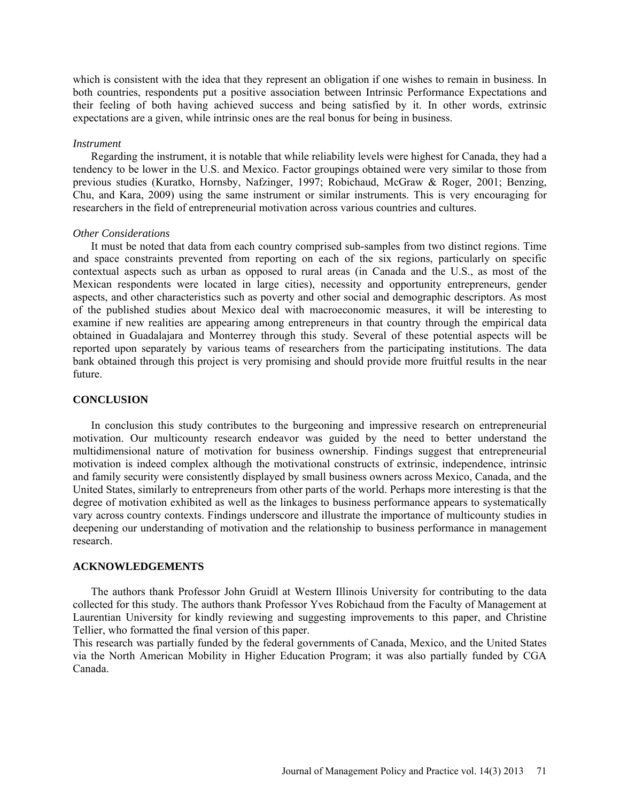which is consistent with the idea that they represent an obligation if one wishes to remain in business. In both countries, respondents put a positive association between Intrinsic Performance Expectations and their feeling of both having achieved success and being satisfied by it. In other words, extrinsic expectations are a given, while intrinsic ones are the real bonus for being in business.

#### *Instrument*

Regarding the instrument, it is notable that while reliability levels were highest for Canada, they had a tendency to be lower in the U.S. and Mexico. Factor groupings obtained were very similar to those from previous studies (Kuratko, Hornsby, Nafzinger, 1997; Robichaud, McGraw & Roger, 2001; Benzing, Chu, and Kara, 2009) using the same instrument or similar instruments. This is very encouraging for researchers in the field of entrepreneurial motivation across various countries and cultures.

#### *Other Considerations*

It must be noted that data from each country comprised sub-samples from two distinct regions. Time and space constraints prevented from reporting on each of the six regions, particularly on specific contextual aspects such as urban as opposed to rural areas (in Canada and the U.S., as most of the Mexican respondents were located in large cities), necessity and opportunity entrepreneurs, gender aspects, and other characteristics such as poverty and other social and demographic descriptors. As most of the published studies about Mexico deal with macroeconomic measures, it will be interesting to examine if new realities are appearing among entrepreneurs in that country through the empirical data obtained in Guadalajara and Monterrey through this study. Several of these potential aspects will be reported upon separately by various teams of researchers from the participating institutions. The data bank obtained through this project is very promising and should provide more fruitful results in the near future.

#### **CONCLUSION**

In conclusion this study contributes to the burgeoning and impressive research on entrepreneurial motivation. Our multicounty research endeavor was guided by the need to better understand the multidimensional nature of motivation for business ownership. Findings suggest that entrepreneurial motivation is indeed complex although the motivational constructs of extrinsic, independence, intrinsic and family security were consistently displayed by small business owners across Mexico, Canada, and the United States, similarly to entrepreneurs from other parts of the world. Perhaps more interesting is that the degree of motivation exhibited as well as the linkages to business performance appears to systematically vary across country contexts. Findings underscore and illustrate the importance of multicounty studies in deepening our understanding of motivation and the relationship to business performance in management research.

#### **ACKNOWLEDGEMENTS**

The authors thank Professor John Gruidl at Western Illinois University for contributing to the data collected for this study. The authors thank Professor Yves Robichaud from the Faculty of Management at Laurentian University for kindly reviewing and suggesting improvements to this paper, and Christine Tellier, who formatted the final version of this paper.

This research was partially funded by the federal governments of Canada, Mexico, and the United States via the North American Mobility in Higher Education Program; it was also partially funded by CGA Canada.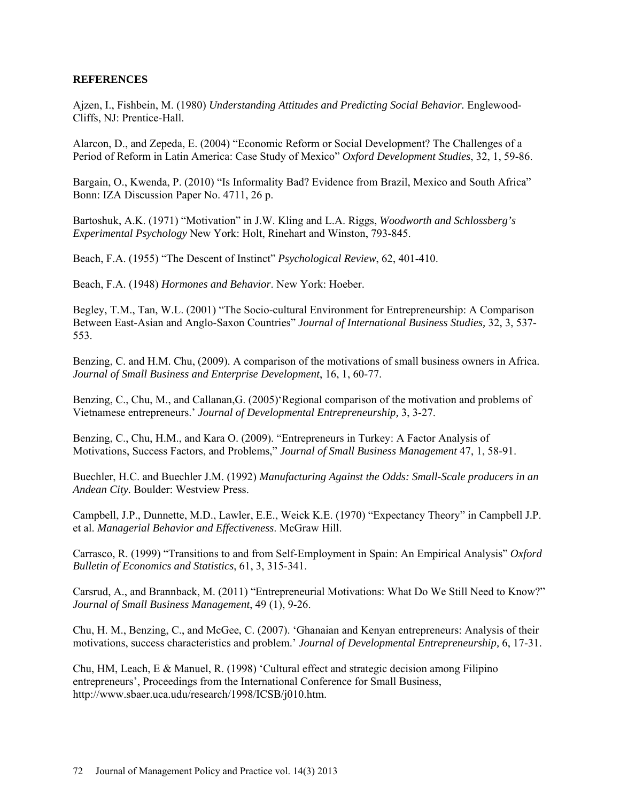## **REFERENCES**

Ajzen, I., Fishbein, M. (1980) *Understanding Attitudes and Predicting Social Behavior.* Englewood-Cliffs, NJ: Prentice-Hall.

Alarcon, D., and Zepeda, E. (2004) "Economic Reform or Social Development? The Challenges of a Period of Reform in Latin America: Case Study of Mexico" *Oxford Development Studies*, 32, 1, 59-86.

Bargain, O., Kwenda, P. (2010) "Is Informality Bad? Evidence from Brazil, Mexico and South Africa" Bonn: IZA Discussion Paper No. 4711, 26 p.

Bartoshuk, A.K. (1971) "Motivation" in J.W. Kling and L.A. Riggs, *Woodworth and Schlossberg's Experimental Psychology* New York: Holt, Rinehart and Winston, 793-845.

Beach, F.A. (1955) "The Descent of Instinct" *Psychological Review*, 62, 401-410.

Beach, F.A. (1948) *Hormones and Behavior*. New York: Hoeber.

Begley, T.M., Tan, W.L. (2001) "The Socio-cultural Environment for Entrepreneurship: A Comparison Between East-Asian and Anglo-Saxon Countries" *Journal of International Business Studies,* 32, 3, 537- 553.

Benzing, C. and H.M. Chu, (2009). A comparison of the motivations of small business owners in Africa. *Journal of Small Business and Enterprise Development*, 16, 1, 60-77.

Benzing, C., Chu, M., and Callanan,G. (2005)'Regional comparison of the motivation and problems of Vietnamese entrepreneurs.' *Journal of Developmental Entrepreneurship,* 3, 3-27.

Benzing, C., Chu, H.M., and Kara O. (2009). "Entrepreneurs in Turkey: A Factor Analysis of Motivations, Success Factors, and Problems," *Journal of Small Business Management* 47, 1, 58-91.

Buechler, H.C. and Buechler J.M. (1992) *Manufacturing Against the Odds: Small-Scale producers in an Andean City.* Boulder: Westview Press.

Campbell, J.P., Dunnette, M.D., Lawler, E.E., Weick K.E. (1970) "Expectancy Theory" in Campbell J.P. et al. *Managerial Behavior and Effectiveness*. McGraw Hill.

Carrasco, R. (1999) "Transitions to and from Self-Employment in Spain: An Empirical Analysis" *Oxford Bulletin of Economics and Statistics*, 61, 3, 315-341.

Carsrud, A., and Brannback, M. (2011) "Entrepreneurial Motivations: What Do We Still Need to Know?" *Journal of Small Business Management*, 49 (1), 9-26.

Chu, H. M., Benzing, C., and McGee, C. (2007). 'Ghanaian and Kenyan entrepreneurs: Analysis of their motivations, success characteristics and problem.' *Journal of Developmental Entrepreneurship,* 6, 17-31.

Chu, HM, Leach, E & Manuel, R. (1998) 'Cultural effect and strategic decision among Filipino entrepreneurs', Proceedings from the International Conference for Small Business, [http://www.sbaer.uca.udu/research/1998/ICSB/j010.htm.](http://www.sbaer.uca.udu/research/1998/ICSB/j010.htm)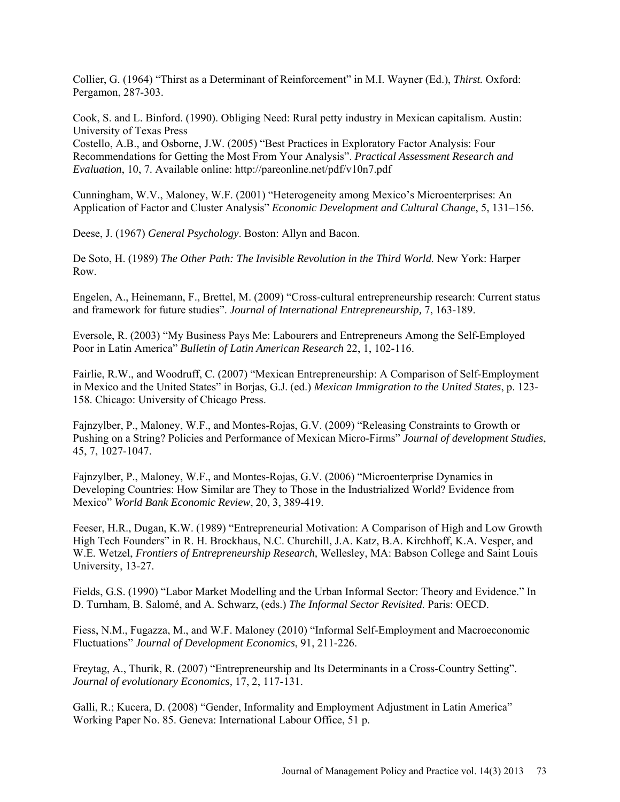Collier, G. (1964) "Thirst as a Determinant of Reinforcement" in M.I. Wayner (Ed.), *Thirst.* Oxford: Pergamon, 287-303.

Cook, S. and L. Binford. (1990). Obliging Need: Rural petty industry in Mexican capitalism. Austin: University of Texas Press

Costello, A.B., and Osborne, J.W. (2005) "Best Practices in Exploratory Factor Analysis: Four Recommendations for Getting the Most From Your Analysis". *Practical Assessment Research and Evaluation*, 10, 7. Available online:<http://pareonline.net/pdf/v10n7.pdf>

Cunningham, W.V., Maloney, W.F. (2001) "Heterogeneity among Mexico's Microenterprises: An Application of Factor and Cluster Analysis" *Economic Development and Cultural Change*, 5, 131–156.

Deese, J. (1967) *General Psychology*. Boston: Allyn and Bacon.

De Soto, H. (1989) *The Other Path: The Invisible Revolution in the Third World.* New York: Harper Row.

Engelen, A., Heinemann, F., Brettel, M. (2009) "Cross-cultural entrepreneurship research: Current status and framework for future studies". *Journal of International Entrepreneurship,* 7, 163-189.

Eversole, R. (2003) "My Business Pays Me: Labourers and Entrepreneurs Among the Self-Employed Poor in Latin America" *Bulletin of Latin American Research* 22, 1, 102-116.

Fairlie, R.W., and Woodruff, C. (2007) "Mexican Entrepreneurship: A Comparison of Self-Employment in Mexico and the United States" in Borjas, G.J. (ed.) *Mexican Immigration to the United States*, p. 123- 158. Chicago: University of Chicago Press.

Fajnzylber, P., Maloney, W.F., and Montes-Rojas, G.V. (2009) "Releasing Constraints to Growth or Pushing on a String? Policies and Performance of Mexican Micro-Firms" *Journal of development Studies*, 45, 7, 1027-1047.

Fajnzylber, P., Maloney, W.F., and Montes-Rojas, G.V. (2006) "Microenterprise Dynamics in Developing Countries: How Similar are They to Those in the Industrialized World? Evidence from Mexico" *World Bank Economic Review*, 20, 3, 389-419.

Feeser, H.R., Dugan, K.W. (1989) "Entrepreneurial Motivation: A Comparison of High and Low Growth High Tech Founders" in R. H. Brockhaus, N.C. Churchill, J.A. Katz, B.A. Kirchhoff, K.A. Vesper, and W.E. Wetzel, *Frontiers of Entrepreneurship Research,* Wellesley, MA: Babson College and Saint Louis University, 13-27.

Fields, G.S. (1990) "Labor Market Modelling and the Urban Informal Sector: Theory and Evidence." In D. Turnham, B. Salomé, and A. Schwarz, (eds.) *The Informal Sector Revisited.* Paris: OECD.

Fiess, N.M., Fugazza, M., and W.F. Maloney (2010) "Informal Self-Employment and Macroeconomic Fluctuations" *Journal of Development Economics*, 91, 211-226.

Freytag, A., Thurik, R. (2007) "Entrepreneurship and Its Determinants in a Cross-Country Setting". *Journal of evolutionary Economics,* 17, 2, 117-131.

Galli, R.; Kucera, D. (2008) "Gender, Informality and Employment Adjustment in Latin America" Working Paper No. 85. Geneva: International Labour Office, 51 p.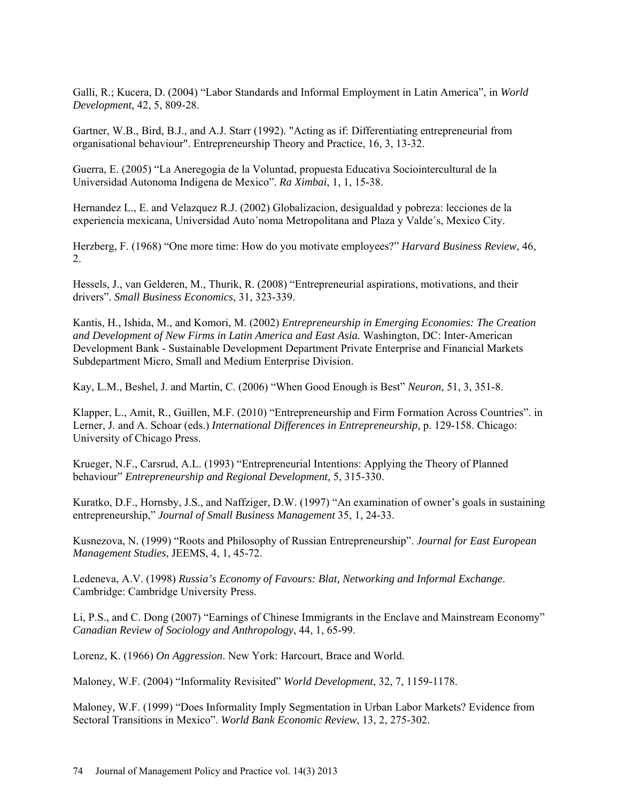Galli, R.; Kucera, D. (2004) "Labor Standards and Informal Employment in Latin America", in *World Development*, 42, 5, 809-28.

Gartner, W.B., Bird, B.J., and A.J. Starr (1992). "Acting as if: Differentiating entrepreneurial from organisational behaviour". Entrepreneurship Theory and Practice, 16, 3, 13-32.

Guerra, E. (2005) "La Aneregogia de la Voluntad, propuesta Educativa Sociointercultural de la Universidad Autonoma Indigena de Mexico". *Ra Ximbai*, 1, 1, 15-38.

Hernandez L., E. and Velazquez R.J. (2002) Globalizacion, desigualdad y pobreza: lecciones de la experiencia mexicana, Universidad Auto´noma Metropolitana and Plaza y Valde´s, Mexico City.

Herzberg, F. (1968) "One more time: How do you motivate employees?" *Harvard Business Review*, 46, 2.

Hessels, J., van Gelderen, M., Thurik, R. (2008) "Entrepreneurial aspirations, motivations, and their drivers". *Small Business Economics*, 31, 323-339.

Kantis, H., Ishida, M., and Komori, M. (2002) *Entrepreneurship in Emerging Economies: The Creation and Development of New Firms in Latin America and East Asia.* Washington, DC: Inter-American Development Bank - Sustainable Development Department Private Enterprise and Financial Markets Subdepartment Micro, Small and Medium Enterprise Division.

Kay, L.M., Beshel, J. and Martin, C. (2006) "When Good Enough is Best" *Neuron*, 51, 3, 351-8.

Klapper, L., Amit, R., Guillen, M.F. (2010) "Entrepreneurship and Firm Formation Across Countries". in Lerner, J. and A. Schoar (eds.) *International Differences in Entrepreneurship,* p. 129-158. Chicago: University of Chicago Press.

Krueger, N.F., Carsrud, A.L. (1993) "Entrepreneurial Intentions: Applying the Theory of Planned behaviour" *Entrepreneurship and Regional Development,* 5, 315-330.

Kuratko, D.F., Hornsby, J.S., and Naffziger, D.W. (1997) "An examination of owner's goals in sustaining entrepreneurship," *Journal of Small Business Management* 35, 1, 24-33.

Kusnezova, N. (1999) "Roots and Philosophy of Russian Entrepreneurship". *Journal for East European Management Studies*, JEEMS, 4, 1, 45-72.

Ledeneva, A.V. (1998) *Russia's Economy of Favours: Blat, Networking and Informal Exchange*. Cambridge: Cambridge University Press.

Li, P.S., and C. Dong (2007) "Earnings of Chinese Immigrants in the Enclave and Mainstream Economy" *Canadian Review of Sociology and Anthropology*, 44, 1, 65-99.

Lorenz, K. (1966) *On Aggression*. New York: Harcourt, Brace and World.

Maloney, W.F. (2004) "Informality Revisited" *World Development*, 32, 7, 1159-1178.

Maloney, W.F. (1999) "Does Informality Imply Segmentation in Urban Labor Markets? Evidence from Sectoral Transitions in Mexico". *World Bank Economic Review*, 13, 2, 275-302.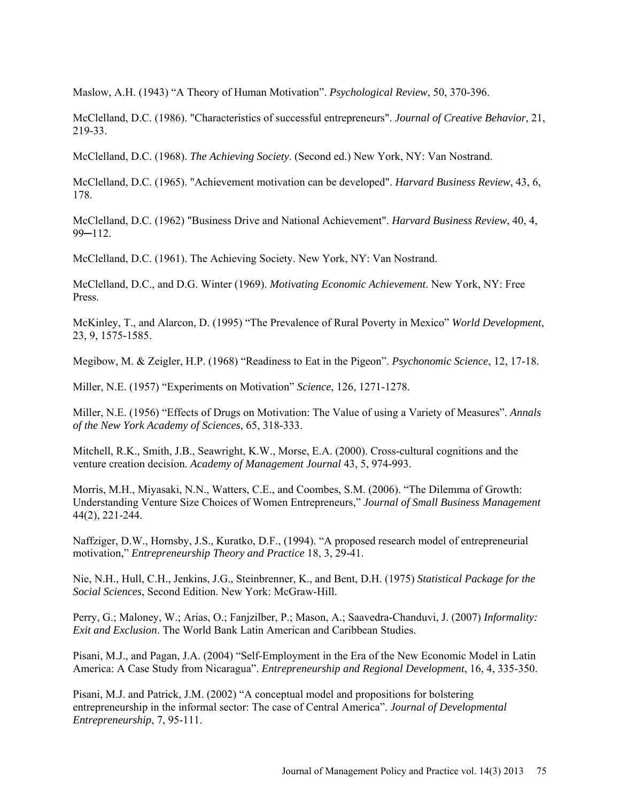Maslow, A.H. (1943) "A Theory of Human Motivation". *Psychological Review*, 50, 370-396.

McClelland, D.C. (1986). "Characteristics of successful entrepreneurs". *Journal of Creative Behavior*, 21, 219-33.

McClelland, D.C. (1968). *The Achieving Society*. (Second ed.) New York, NY: Van Nostrand.

McClelland, D.C. (1965). "Achievement motivation can be developed". *Harvard Business Review*, 43, 6, 178.

McClelland, D.C. (1962) "Business Drive and National Achievement". *Harvard Business Review*, 40, 4,  $99 - 112$ .

McClelland, D.C. (1961). The Achieving Society. New York, NY: Van Nostrand.

McClelland, D.C., and D.G. Winter (1969). *Motivating Economic Achievement*. New York, NY: Free Press.

McKinley, T., and Alarcon, D. (1995) "The Prevalence of Rural Poverty in Mexico" *World Development*, 23, 9, 1575-1585.

Megibow, M. & Zeigler, H.P. (1968) "Readiness to Eat in the Pigeon". *Psychonomic Science*, 12, 17-18.

Miller, N.E. (1957) "Experiments on Motivation" *Science*, 126, 1271-1278.

Miller, N.E. (1956) "Effects of Drugs on Motivation: The Value of using a Variety of Measures". *Annals of the New York Academy of Sciences*, 65, 318-333.

Mitchell, R.K., Smith, J.B., Seawright, K.W., Morse, E.A. (2000). [Cross-cultural cognitions and the](http://www.ronaldmitchell.org/publications/mitchell%20smith%20seawright%20morse%202000.pdf)  [venture creation decision.](http://www.ronaldmitchell.org/publications/mitchell%20smith%20seawright%20morse%202000.pdf) *Academy of Management Journal* 43, 5, 974-993.

Morris, M.H., Miyasaki, N.N., Watters, C.E., and Coombes, S.M. (2006). "The Dilemma of Growth: Understanding Venture Size Choices of Women Entrepreneurs," *Journal of Small Business Management*  44(2), 221-244.

Naffziger, D.W., Hornsby, J.S., Kuratko, D.F., (1994). "A proposed research model of entrepreneurial motivation," *Entrepreneurship Theory and Practice* 18, 3, 29-41.

Nie, N.H., Hull, C.H., Jenkins, J.G., Steinbrenner, K., and Bent, D.H. (1975) *Statistical Package for the Social Sciences*, Second Edition. New York: McGraw-Hill.

Perry, G.; Maloney, W.; Arias, O.; Fanjzilber, P.; Mason, A.; Saavedra-Chanduvi, J. (2007) *Informality: Exit and Exclusion*. The World Bank Latin American and Caribbean Studies.

Pisani, M.J., and Pagan, J.A. (2004) "Self-Employment in the Era of the New Economic Model in Latin America: A Case Study from Nicaragua". *Entrepreneurship and Regional Development*, 16, 4, 335-350.

Pisani, M.J. and Patrick, J.M. (2002) "A conceptual model and propositions for bolstering entrepreneurship in the informal sector: The case of Central America". *Journal of Developmental Entrepreneurship*, 7, 95-111.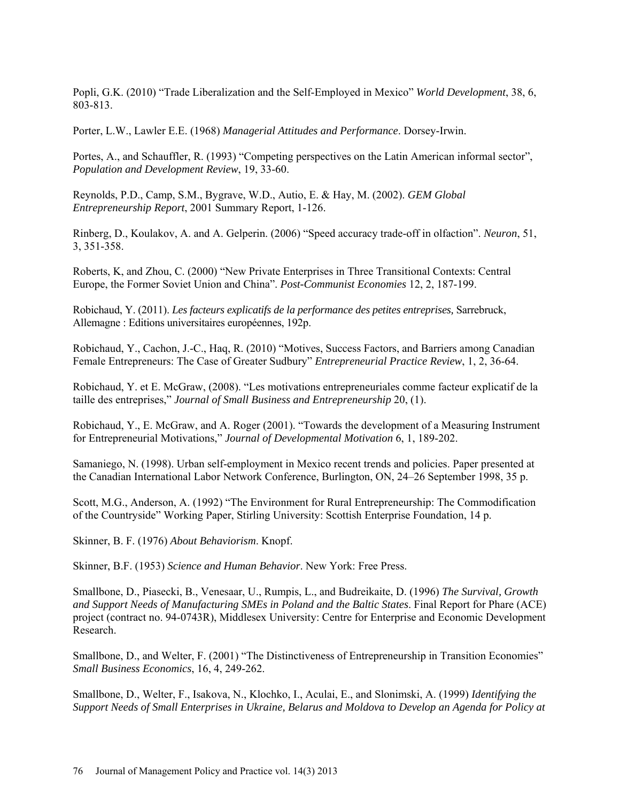Popli, G.K. (2010) "Trade Liberalization and the Self-Employed in Mexico" *World Development*, 38, 6, 803-813.

Porter, L.W., Lawler E.E. (1968) *Managerial Attitudes and Performance*. Dorsey-Irwin.

Portes, A., and Schauffler, R. (1993) "Competing perspectives on the Latin American informal sector", *Population and Development Review*, 19, 33-60.

Reynolds, P.D., Camp, S.M., Bygrave, W.D., Autio, E. & Hay, M. (2002). *GEM Global Entrepreneurship Report*, 2001 Summary Report, 1-126.

Rinberg, D., Koulakov, A. and A. Gelperin. (2006) "Speed accuracy trade-off in olfaction". *Neuron*, 51, 3, 351-358.

Roberts, K, and Zhou, C. (2000) "New Private Enterprises in Three Transitional Contexts: Central Europe, the Former Soviet Union and China". *Post-Communist Economies* 12, 2, 187-199.

Robichaud, Y. (2011). *Les facteurs explicatifs de la performance des petites entreprises,* Sarrebruck, Allemagne : Editions universitaires européennes, 192p.

Robichaud, Y., Cachon, J.-C., Haq, R. (2010) "Motives, Success Factors, and Barriers among Canadian Female Entrepreneurs: The Case of Greater Sudbury" *Entrepreneurial Practice Review*, 1, 2, 36-64.

Robichaud, Y. et E. McGraw, (2008). "Les motivations entrepreneuriales comme facteur explicatif de la taille des entreprises," *Journal of Small Business and Entrepreneurship* 20, (1).

Robichaud, Y., E. McGraw, and A. Roger (2001). "Towards the development of a Measuring Instrument for Entrepreneurial Motivations," *Journal of Developmental Motivation* 6, 1, 189-202.

Samaniego, N. (1998). Urban self-employment in Mexico recent trends and policies. Paper presented at the Canadian International Labor Network Conference, Burlington, ON, 24–26 September 1998, 35 p.

Scott, M.G., Anderson, A. (1992) "The Environment for Rural Entrepreneurship: The Commodification of the Countryside" Working Paper, Stirling University: Scottish Enterprise Foundation, 14 p.

Skinner, B. F. (1976) *About Behaviorism*. Knopf.

Skinner, B.F. (1953) *Science and Human Behavior*. New York: Free Press.

Smallbone, D., Piasecki, B., Venesaar, U., Rumpis, L., and Budreikaite, D. (1996) *The Survival, Growth and Support Needs of Manufacturing SMEs in Poland and the Baltic States*. Final Report for Phare (ACE) project (contract no. 94-0743R), Middlesex University: Centre for Enterprise and Economic Development Research.

Smallbone, D., and Welter, F. (2001) "The Distinctiveness of Entrepreneurship in Transition Economies" *Small Business Economics*, 16, 4, 249-262.

Smallbone, D., Welter, F., Isakova, N., Klochko, I., Aculai, E., and Slonimski, A. (1999) *Identifying the Support Needs of Small Enterprises in Ukraine, Belarus and Moldova to Develop an Agenda for Policy at*